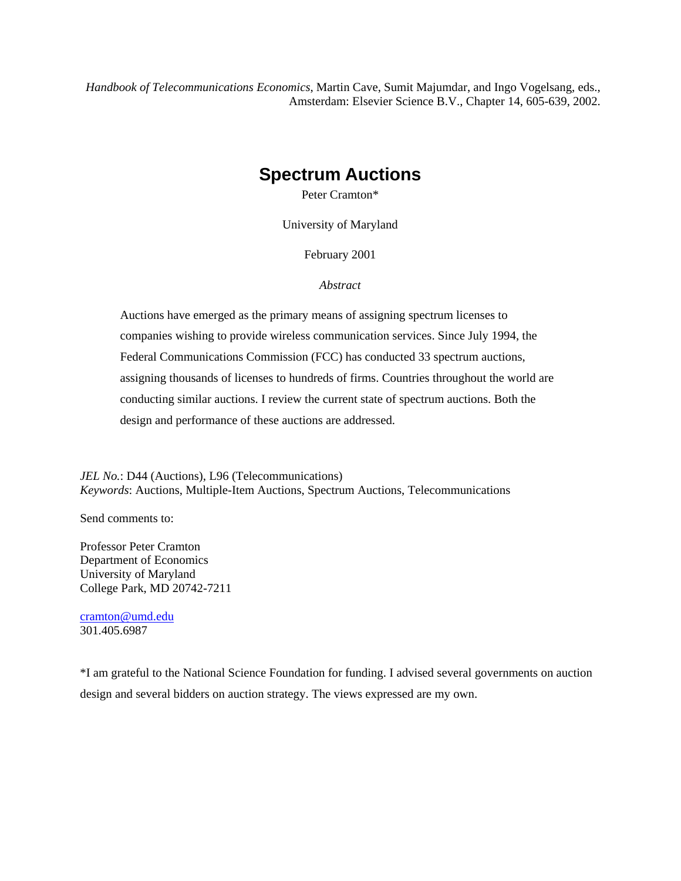*Handbook of Telecommunications Economics*, Martin Cave, Sumit Majumdar, and Ingo Vogelsang, eds., Amsterdam: Elsevier Science B.V., Chapter 14, 605-639, 2002.

# **Spectrum Auctions**

Peter Cramton\*

University of Maryland

February 2001

*Abstract* 

Auctions have emerged as the primary means of assigning spectrum licenses to companies wishing to provide wireless communication services. Since July 1994, the Federal Communications Commission (FCC) has conducted 33 spectrum auctions, assigning thousands of licenses to hundreds of firms. Countries throughout the world are conducting similar auctions. I review the current state of spectrum auctions. Both the design and performance of these auctions are addressed.

*JEL No.*: D44 (Auctions), L96 (Telecommunications) *Keywords*: Auctions, Multiple-Item Auctions, Spectrum Auctions, Telecommunications

Send comments to:

Professor Peter Cramton Department of Economics University of Maryland College Park, MD 20742-7211

cramton@umd.edu 301.405.6987

\*I am grateful to the National Science Foundation for funding. I advised several governments on auction design and several bidders on auction strategy. The views expressed are my own.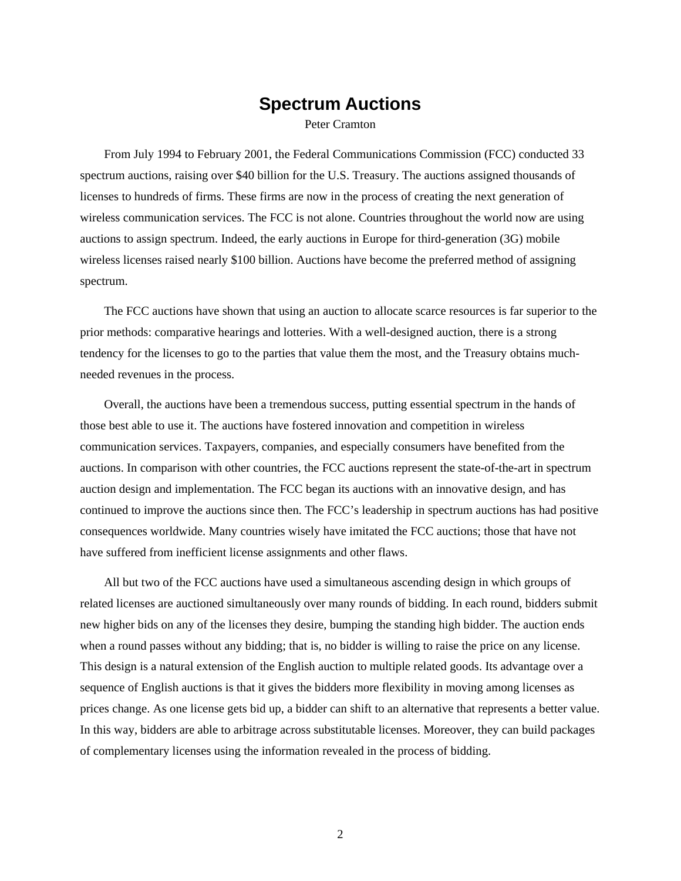## **Spectrum Auctions**

Peter Cramton

From July 1994 to February 2001, the Federal Communications Commission (FCC) conducted 33 spectrum auctions, raising over \$40 billion for the U.S. Treasury. The auctions assigned thousands of licenses to hundreds of firms. These firms are now in the process of creating the next generation of wireless communication services. The FCC is not alone. Countries throughout the world now are using auctions to assign spectrum. Indeed, the early auctions in Europe for third-generation (3G) mobile wireless licenses raised nearly \$100 billion. Auctions have become the preferred method of assigning spectrum.

The FCC auctions have shown that using an auction to allocate scarce resources is far superior to the prior methods: comparative hearings and lotteries. With a well-designed auction, there is a strong tendency for the licenses to go to the parties that value them the most, and the Treasury obtains muchneeded revenues in the process.

Overall, the auctions have been a tremendous success, putting essential spectrum in the hands of those best able to use it. The auctions have fostered innovation and competition in wireless communication services. Taxpayers, companies, and especially consumers have benefited from the auctions. In comparison with other countries, the FCC auctions represent the state-of-the-art in spectrum auction design and implementation. The FCC began its auctions with an innovative design, and has continued to improve the auctions since then. The FCC's leadership in spectrum auctions has had positive consequences worldwide. Many countries wisely have imitated the FCC auctions; those that have not have suffered from inefficient license assignments and other flaws.

All but two of the FCC auctions have used a simultaneous ascending design in which groups of related licenses are auctioned simultaneously over many rounds of bidding. In each round, bidders submit new higher bids on any of the licenses they desire, bumping the standing high bidder. The auction ends when a round passes without any bidding; that is, no bidder is willing to raise the price on any license. This design is a natural extension of the English auction to multiple related goods. Its advantage over a sequence of English auctions is that it gives the bidders more flexibility in moving among licenses as prices change. As one license gets bid up, a bidder can shift to an alternative that represents a better value. In this way, bidders are able to arbitrage across substitutable licenses. Moreover, they can build packages of complementary licenses using the information revealed in the process of bidding.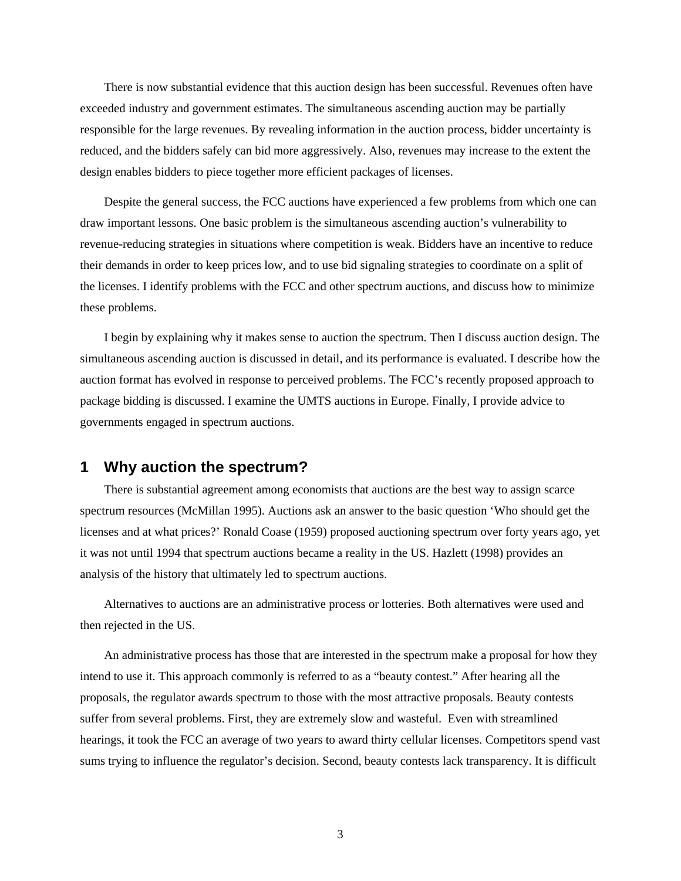There is now substantial evidence that this auction design has been successful. Revenues often have exceeded industry and government estimates. The simultaneous ascending auction may be partially responsible for the large revenues. By revealing information in the auction process, bidder uncertainty is reduced, and the bidders safely can bid more aggressively. Also, revenues may increase to the extent the design enables bidders to piece together more efficient packages of licenses.

Despite the general success, the FCC auctions have experienced a few problems from which one can draw important lessons. One basic problem is the simultaneous ascending auction's vulnerability to revenue-reducing strategies in situations where competition is weak. Bidders have an incentive to reduce their demands in order to keep prices low, and to use bid signaling strategies to coordinate on a split of the licenses. I identify problems with the FCC and other spectrum auctions, and discuss how to minimize these problems.

I begin by explaining why it makes sense to auction the spectrum. Then I discuss auction design. The simultaneous ascending auction is discussed in detail, and its performance is evaluated. I describe how the auction format has evolved in response to perceived problems. The FCC's recently proposed approach to package bidding is discussed. I examine the UMTS auctions in Europe. Finally, I provide advice to governments engaged in spectrum auctions.

### **1 Why auction the spectrum?**

There is substantial agreement among economists that auctions are the best way to assign scarce spectrum resources (McMillan 1995). Auctions ask an answer to the basic question 'Who should get the licenses and at what prices?' Ronald Coase (1959) proposed auctioning spectrum over forty years ago, yet it was not until 1994 that spectrum auctions became a reality in the US. Hazlett (1998) provides an analysis of the history that ultimately led to spectrum auctions.

Alternatives to auctions are an administrative process or lotteries. Both alternatives were used and then rejected in the US.

An administrative process has those that are interested in the spectrum make a proposal for how they intend to use it. This approach commonly is referred to as a "beauty contest." After hearing all the proposals, the regulator awards spectrum to those with the most attractive proposals. Beauty contests suffer from several problems. First, they are extremely slow and wasteful. Even with streamlined hearings, it took the FCC an average of two years to award thirty cellular licenses. Competitors spend vast sums trying to influence the regulator's decision. Second, beauty contests lack transparency. It is difficult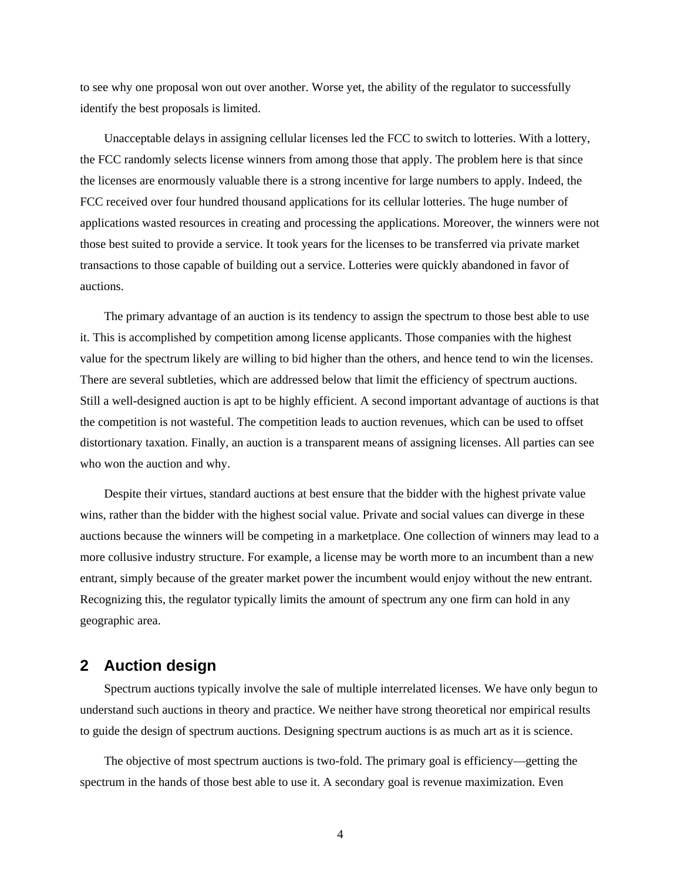to see why one proposal won out over another. Worse yet, the ability of the regulator to successfully identify the best proposals is limited.

Unacceptable delays in assigning cellular licenses led the FCC to switch to lotteries. With a lottery, the FCC randomly selects license winners from among those that apply. The problem here is that since the licenses are enormously valuable there is a strong incentive for large numbers to apply. Indeed, the FCC received over four hundred thousand applications for its cellular lotteries. The huge number of applications wasted resources in creating and processing the applications. Moreover, the winners were not those best suited to provide a service. It took years for the licenses to be transferred via private market transactions to those capable of building out a service. Lotteries were quickly abandoned in favor of auctions.

The primary advantage of an auction is its tendency to assign the spectrum to those best able to use it. This is accomplished by competition among license applicants. Those companies with the highest value for the spectrum likely are willing to bid higher than the others, and hence tend to win the licenses. There are several subtleties, which are addressed below that limit the efficiency of spectrum auctions. Still a well-designed auction is apt to be highly efficient. A second important advantage of auctions is that the competition is not wasteful. The competition leads to auction revenues, which can be used to offset distortionary taxation. Finally, an auction is a transparent means of assigning licenses. All parties can see who won the auction and why.

Despite their virtues, standard auctions at best ensure that the bidder with the highest private value wins, rather than the bidder with the highest social value. Private and social values can diverge in these auctions because the winners will be competing in a marketplace. One collection of winners may lead to a more collusive industry structure. For example, a license may be worth more to an incumbent than a new entrant, simply because of the greater market power the incumbent would enjoy without the new entrant. Recognizing this, the regulator typically limits the amount of spectrum any one firm can hold in any geographic area.

### **2 Auction design**

Spectrum auctions typically involve the sale of multiple interrelated licenses. We have only begun to understand such auctions in theory and practice. We neither have strong theoretical nor empirical results to guide the design of spectrum auctions. Designing spectrum auctions is as much art as it is science.

The objective of most spectrum auctions is two-fold. The primary goal is efficiency—getting the spectrum in the hands of those best able to use it. A secondary goal is revenue maximization. Even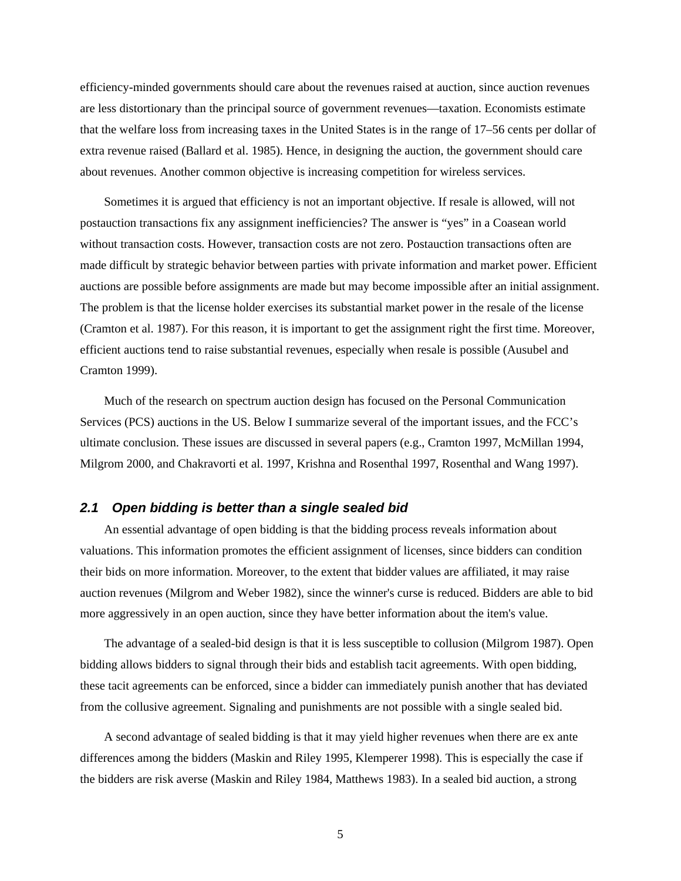efficiency-minded governments should care about the revenues raised at auction, since auction revenues are less distortionary than the principal source of government revenues—taxation. Economists estimate that the welfare loss from increasing taxes in the United States is in the range of 17–56 cents per dollar of extra revenue raised (Ballard et al. 1985). Hence, in designing the auction, the government should care about revenues. Another common objective is increasing competition for wireless services.

Sometimes it is argued that efficiency is not an important objective. If resale is allowed, will not postauction transactions fix any assignment inefficiencies? The answer is "yes" in a Coasean world without transaction costs. However, transaction costs are not zero. Postauction transactions often are made difficult by strategic behavior between parties with private information and market power. Efficient auctions are possible before assignments are made but may become impossible after an initial assignment. The problem is that the license holder exercises its substantial market power in the resale of the license (Cramton et al. 1987). For this reason, it is important to get the assignment right the first time. Moreover, efficient auctions tend to raise substantial revenues, especially when resale is possible (Ausubel and Cramton 1999).

Much of the research on spectrum auction design has focused on the Personal Communication Services (PCS) auctions in the US. Below I summarize several of the important issues, and the FCC's ultimate conclusion. These issues are discussed in several papers (e.g., Cramton 1997, McMillan 1994, Milgrom 2000, and Chakravorti et al. 1997, Krishna and Rosenthal 1997, Rosenthal and Wang 1997).

### *2.1 Open bidding is better than a single sealed bid*

An essential advantage of open bidding is that the bidding process reveals information about valuations. This information promotes the efficient assignment of licenses, since bidders can condition their bids on more information. Moreover, to the extent that bidder values are affiliated, it may raise auction revenues (Milgrom and Weber 1982), since the winner's curse is reduced. Bidders are able to bid more aggressively in an open auction, since they have better information about the item's value.

The advantage of a sealed-bid design is that it is less susceptible to collusion (Milgrom 1987). Open bidding allows bidders to signal through their bids and establish tacit agreements. With open bidding, these tacit agreements can be enforced, since a bidder can immediately punish another that has deviated from the collusive agreement. Signaling and punishments are not possible with a single sealed bid.

A second advantage of sealed bidding is that it may yield higher revenues when there are ex ante differences among the bidders (Maskin and Riley 1995, Klemperer 1998). This is especially the case if the bidders are risk averse (Maskin and Riley 1984, Matthews 1983). In a sealed bid auction, a strong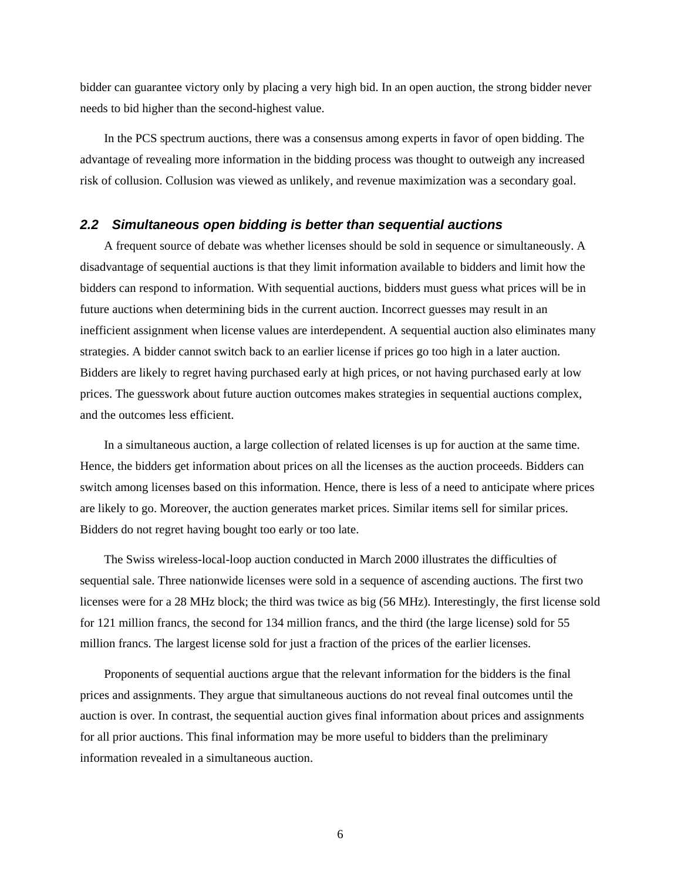bidder can guarantee victory only by placing a very high bid. In an open auction, the strong bidder never needs to bid higher than the second-highest value.

In the PCS spectrum auctions, there was a consensus among experts in favor of open bidding. The advantage of revealing more information in the bidding process was thought to outweigh any increased risk of collusion. Collusion was viewed as unlikely, and revenue maximization was a secondary goal.

#### *2.2 Simultaneous open bidding is better than sequential auctions*

A frequent source of debate was whether licenses should be sold in sequence or simultaneously. A disadvantage of sequential auctions is that they limit information available to bidders and limit how the bidders can respond to information. With sequential auctions, bidders must guess what prices will be in future auctions when determining bids in the current auction. Incorrect guesses may result in an inefficient assignment when license values are interdependent. A sequential auction also eliminates many strategies. A bidder cannot switch back to an earlier license if prices go too high in a later auction. Bidders are likely to regret having purchased early at high prices, or not having purchased early at low prices. The guesswork about future auction outcomes makes strategies in sequential auctions complex, and the outcomes less efficient.

In a simultaneous auction, a large collection of related licenses is up for auction at the same time. Hence, the bidders get information about prices on all the licenses as the auction proceeds. Bidders can switch among licenses based on this information. Hence, there is less of a need to anticipate where prices are likely to go. Moreover, the auction generates market prices. Similar items sell for similar prices. Bidders do not regret having bought too early or too late.

The Swiss wireless-local-loop auction conducted in March 2000 illustrates the difficulties of sequential sale. Three nationwide licenses were sold in a sequence of ascending auctions. The first two licenses were for a 28 MHz block; the third was twice as big (56 MHz). Interestingly, the first license sold for 121 million francs, the second for 134 million francs, and the third (the large license) sold for 55 million francs. The largest license sold for just a fraction of the prices of the earlier licenses.

Proponents of sequential auctions argue that the relevant information for the bidders is the final prices and assignments. They argue that simultaneous auctions do not reveal final outcomes until the auction is over. In contrast, the sequential auction gives final information about prices and assignments for all prior auctions. This final information may be more useful to bidders than the preliminary information revealed in a simultaneous auction.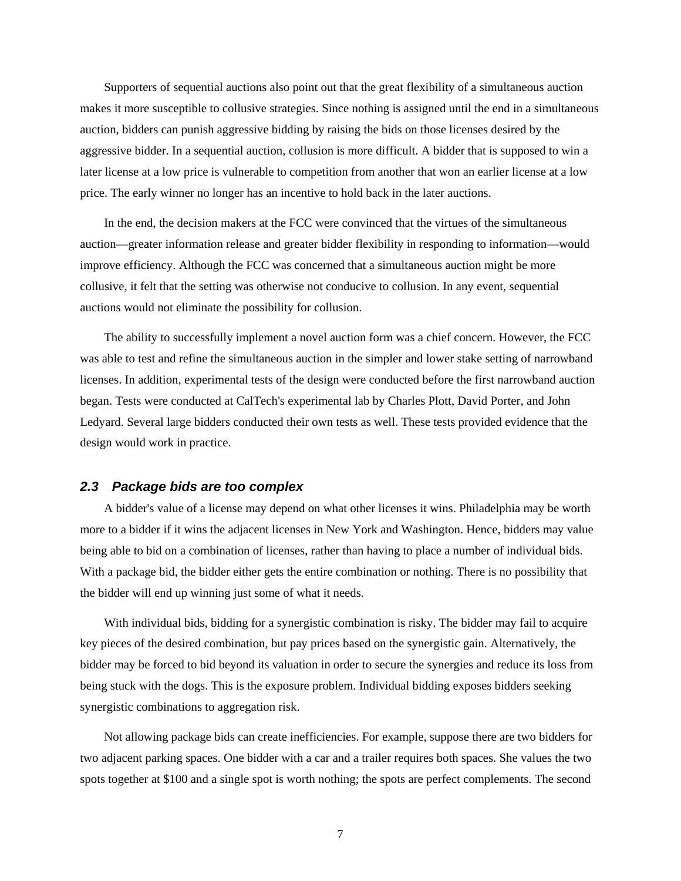Supporters of sequential auctions also point out that the great flexibility of a simultaneous auction makes it more susceptible to collusive strategies. Since nothing is assigned until the end in a simultaneous auction, bidders can punish aggressive bidding by raising the bids on those licenses desired by the aggressive bidder. In a sequential auction, collusion is more difficult. A bidder that is supposed to win a later license at a low price is vulnerable to competition from another that won an earlier license at a low price. The early winner no longer has an incentive to hold back in the later auctions.

In the end, the decision makers at the FCC were convinced that the virtues of the simultaneous auction—greater information release and greater bidder flexibility in responding to information—would improve efficiency. Although the FCC was concerned that a simultaneous auction might be more collusive, it felt that the setting was otherwise not conducive to collusion. In any event, sequential auctions would not eliminate the possibility for collusion.

The ability to successfully implement a novel auction form was a chief concern. However, the FCC was able to test and refine the simultaneous auction in the simpler and lower stake setting of narrowband licenses. In addition, experimental tests of the design were conducted before the first narrowband auction began. Tests were conducted at CalTech's experimental lab by Charles Plott, David Porter, and John Ledyard. Several large bidders conducted their own tests as well. These tests provided evidence that the design would work in practice.

#### *2.3 Package bids are too complex*

A bidder's value of a license may depend on what other licenses it wins. Philadelphia may be worth more to a bidder if it wins the adjacent licenses in New York and Washington. Hence, bidders may value being able to bid on a combination of licenses, rather than having to place a number of individual bids. With a package bid, the bidder either gets the entire combination or nothing. There is no possibility that the bidder will end up winning just some of what it needs.

With individual bids, bidding for a synergistic combination is risky. The bidder may fail to acquire key pieces of the desired combination, but pay prices based on the synergistic gain. Alternatively, the bidder may be forced to bid beyond its valuation in order to secure the synergies and reduce its loss from being stuck with the dogs. This is the exposure problem. Individual bidding exposes bidders seeking synergistic combinations to aggregation risk.

Not allowing package bids can create inefficiencies. For example, suppose there are two bidders for two adjacent parking spaces. One bidder with a car and a trailer requires both spaces. She values the two spots together at \$100 and a single spot is worth nothing; the spots are perfect complements. The second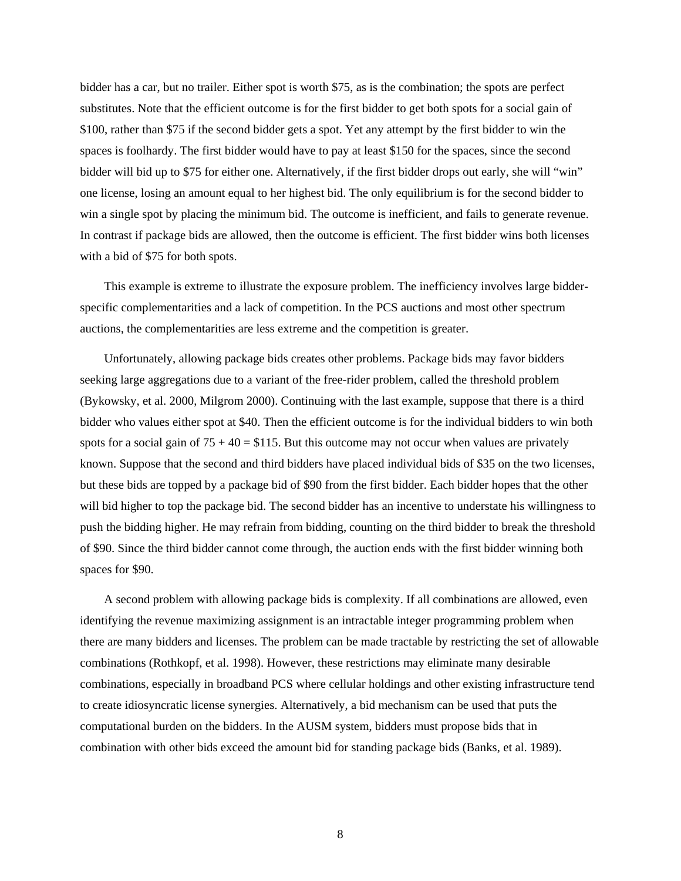bidder has a car, but no trailer. Either spot is worth \$75, as is the combination; the spots are perfect substitutes. Note that the efficient outcome is for the first bidder to get both spots for a social gain of \$100, rather than \$75 if the second bidder gets a spot. Yet any attempt by the first bidder to win the spaces is foolhardy. The first bidder would have to pay at least \$150 for the spaces, since the second bidder will bid up to \$75 for either one. Alternatively, if the first bidder drops out early, she will "win" one license, losing an amount equal to her highest bid. The only equilibrium is for the second bidder to win a single spot by placing the minimum bid. The outcome is inefficient, and fails to generate revenue. In contrast if package bids are allowed, then the outcome is efficient. The first bidder wins both licenses with a bid of \$75 for both spots.

This example is extreme to illustrate the exposure problem. The inefficiency involves large bidderspecific complementarities and a lack of competition. In the PCS auctions and most other spectrum auctions, the complementarities are less extreme and the competition is greater.

Unfortunately, allowing package bids creates other problems. Package bids may favor bidders seeking large aggregations due to a variant of the free-rider problem, called the threshold problem (Bykowsky, et al. 2000, Milgrom 2000). Continuing with the last example, suppose that there is a third bidder who values either spot at \$40. Then the efficient outcome is for the individual bidders to win both spots for a social gain of  $75 + 40 = $115$ . But this outcome may not occur when values are privately known. Suppose that the second and third bidders have placed individual bids of \$35 on the two licenses, but these bids are topped by a package bid of \$90 from the first bidder. Each bidder hopes that the other will bid higher to top the package bid. The second bidder has an incentive to understate his willingness to push the bidding higher. He may refrain from bidding, counting on the third bidder to break the threshold of \$90. Since the third bidder cannot come through, the auction ends with the first bidder winning both spaces for \$90.

A second problem with allowing package bids is complexity. If all combinations are allowed, even identifying the revenue maximizing assignment is an intractable integer programming problem when there are many bidders and licenses. The problem can be made tractable by restricting the set of allowable combinations (Rothkopf, et al. 1998). However, these restrictions may eliminate many desirable combinations, especially in broadband PCS where cellular holdings and other existing infrastructure tend to create idiosyncratic license synergies. Alternatively, a bid mechanism can be used that puts the computational burden on the bidders. In the AUSM system, bidders must propose bids that in combination with other bids exceed the amount bid for standing package bids (Banks, et al. 1989).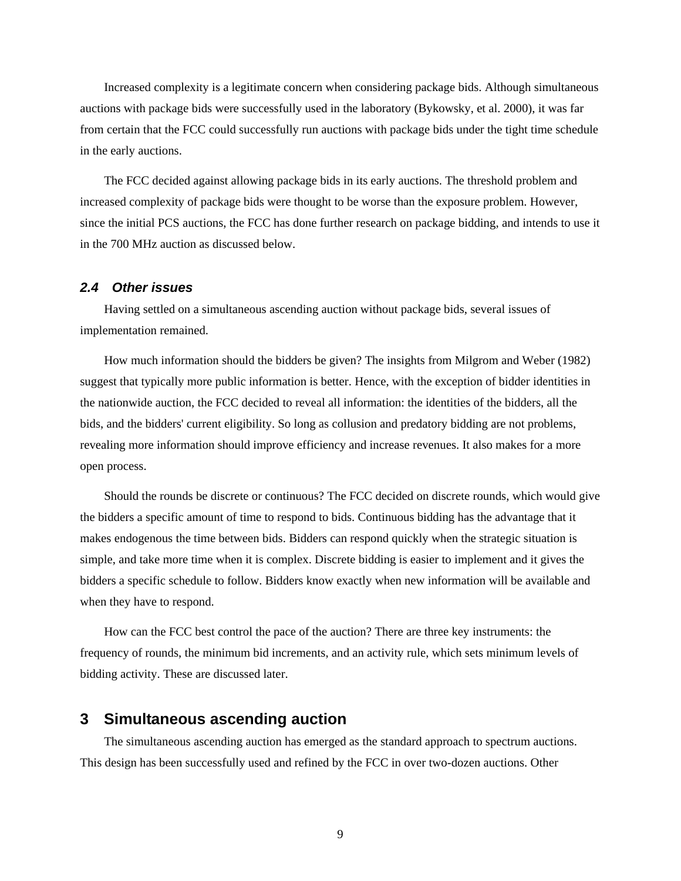Increased complexity is a legitimate concern when considering package bids. Although simultaneous auctions with package bids were successfully used in the laboratory (Bykowsky, et al. 2000), it was far from certain that the FCC could successfully run auctions with package bids under the tight time schedule in the early auctions.

The FCC decided against allowing package bids in its early auctions. The threshold problem and increased complexity of package bids were thought to be worse than the exposure problem. However, since the initial PCS auctions, the FCC has done further research on package bidding, and intends to use it in the 700 MHz auction as discussed below.

### *2.4 Other issues*

Having settled on a simultaneous ascending auction without package bids, several issues of implementation remained.

How much information should the bidders be given? The insights from Milgrom and Weber (1982) suggest that typically more public information is better. Hence, with the exception of bidder identities in the nationwide auction, the FCC decided to reveal all information: the identities of the bidders, all the bids, and the bidders' current eligibility. So long as collusion and predatory bidding are not problems, revealing more information should improve efficiency and increase revenues. It also makes for a more open process.

Should the rounds be discrete or continuous? The FCC decided on discrete rounds, which would give the bidders a specific amount of time to respond to bids. Continuous bidding has the advantage that it makes endogenous the time between bids. Bidders can respond quickly when the strategic situation is simple, and take more time when it is complex. Discrete bidding is easier to implement and it gives the bidders a specific schedule to follow. Bidders know exactly when new information will be available and when they have to respond.

How can the FCC best control the pace of the auction? There are three key instruments: the frequency of rounds, the minimum bid increments, and an activity rule, which sets minimum levels of bidding activity. These are discussed later.

### **3 Simultaneous ascending auction**

The simultaneous ascending auction has emerged as the standard approach to spectrum auctions. This design has been successfully used and refined by the FCC in over two-dozen auctions. Other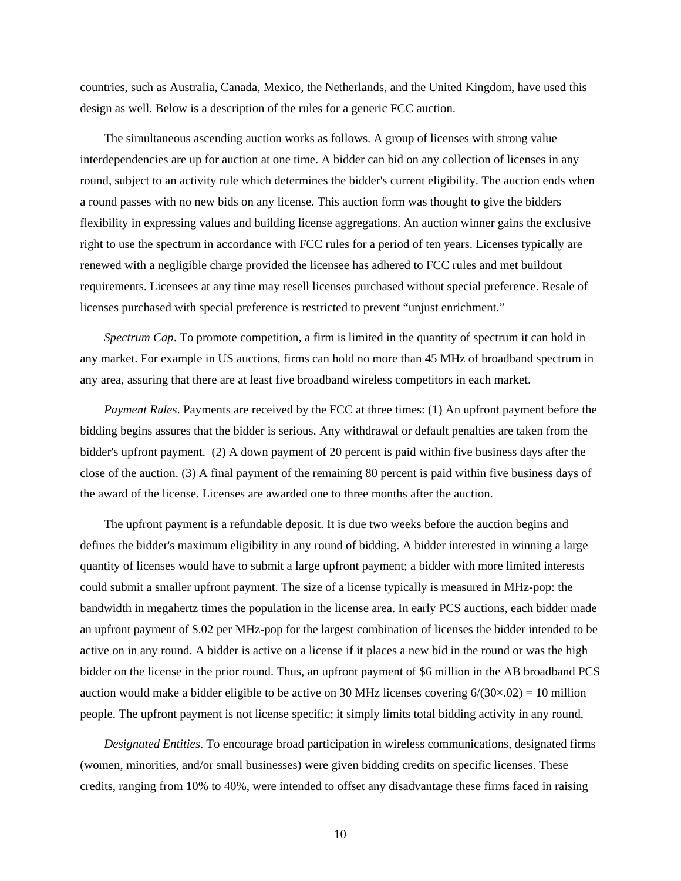countries, such as Australia, Canada, Mexico, the Netherlands, and the United Kingdom, have used this design as well. Below is a description of the rules for a generic FCC auction.

The simultaneous ascending auction works as follows. A group of licenses with strong value interdependencies are up for auction at one time. A bidder can bid on any collection of licenses in any round, subject to an activity rule which determines the bidder's current eligibility. The auction ends when a round passes with no new bids on any license. This auction form was thought to give the bidders flexibility in expressing values and building license aggregations. An auction winner gains the exclusive right to use the spectrum in accordance with FCC rules for a period of ten years. Licenses typically are renewed with a negligible charge provided the licensee has adhered to FCC rules and met buildout requirements. Licensees at any time may resell licenses purchased without special preference. Resale of licenses purchased with special preference is restricted to prevent "unjust enrichment."

*Spectrum Cap*. To promote competition, a firm is limited in the quantity of spectrum it can hold in any market. For example in US auctions, firms can hold no more than 45 MHz of broadband spectrum in any area, assuring that there are at least five broadband wireless competitors in each market.

*Payment Rules*. Payments are received by the FCC at three times: (1) An upfront payment before the bidding begins assures that the bidder is serious. Any withdrawal or default penalties are taken from the bidder's upfront payment. (2) A down payment of 20 percent is paid within five business days after the close of the auction. (3) A final payment of the remaining 80 percent is paid within five business days of the award of the license. Licenses are awarded one to three months after the auction.

The upfront payment is a refundable deposit. It is due two weeks before the auction begins and defines the bidder's maximum eligibility in any round of bidding. A bidder interested in winning a large quantity of licenses would have to submit a large upfront payment; a bidder with more limited interests could submit a smaller upfront payment. The size of a license typically is measured in MHz-pop: the bandwidth in megahertz times the population in the license area. In early PCS auctions, each bidder made an upfront payment of \$.02 per MHz-pop for the largest combination of licenses the bidder intended to be active on in any round. A bidder is active on a license if it places a new bid in the round or was the high bidder on the license in the prior round. Thus, an upfront payment of \$6 million in the AB broadband PCS auction would make a bidder eligible to be active on 30 MHz licenses covering  $6/(30\times0.02) = 10$  million people. The upfront payment is not license specific; it simply limits total bidding activity in any round.

*Designated Entities*. To encourage broad participation in wireless communications, designated firms (women, minorities, and/or small businesses) were given bidding credits on specific licenses. These credits, ranging from 10% to 40%, were intended to offset any disadvantage these firms faced in raising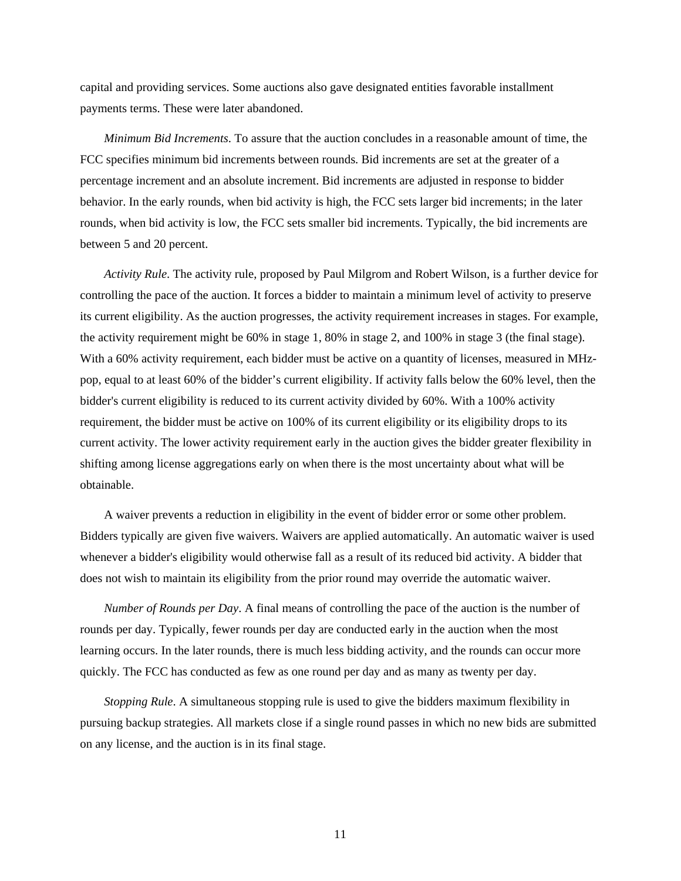capital and providing services. Some auctions also gave designated entities favorable installment payments terms. These were later abandoned.

*Minimum Bid Increments*. To assure that the auction concludes in a reasonable amount of time, the FCC specifies minimum bid increments between rounds. Bid increments are set at the greater of a percentage increment and an absolute increment. Bid increments are adjusted in response to bidder behavior. In the early rounds, when bid activity is high, the FCC sets larger bid increments; in the later rounds, when bid activity is low, the FCC sets smaller bid increments. Typically, the bid increments are between 5 and 20 percent.

*Activity Rule*. The activity rule, proposed by Paul Milgrom and Robert Wilson, is a further device for controlling the pace of the auction. It forces a bidder to maintain a minimum level of activity to preserve its current eligibility. As the auction progresses, the activity requirement increases in stages. For example, the activity requirement might be 60% in stage 1, 80% in stage 2, and 100% in stage 3 (the final stage). With a 60% activity requirement, each bidder must be active on a quantity of licenses, measured in MHzpop, equal to at least 60% of the bidder's current eligibility. If activity falls below the 60% level, then the bidder's current eligibility is reduced to its current activity divided by 60%. With a 100% activity requirement, the bidder must be active on 100% of its current eligibility or its eligibility drops to its current activity. The lower activity requirement early in the auction gives the bidder greater flexibility in shifting among license aggregations early on when there is the most uncertainty about what will be obtainable.

A waiver prevents a reduction in eligibility in the event of bidder error or some other problem. Bidders typically are given five waivers. Waivers are applied automatically. An automatic waiver is used whenever a bidder's eligibility would otherwise fall as a result of its reduced bid activity. A bidder that does not wish to maintain its eligibility from the prior round may override the automatic waiver.

*Number of Rounds per Day*. A final means of controlling the pace of the auction is the number of rounds per day. Typically, fewer rounds per day are conducted early in the auction when the most learning occurs. In the later rounds, there is much less bidding activity, and the rounds can occur more quickly. The FCC has conducted as few as one round per day and as many as twenty per day.

*Stopping Rule*. A simultaneous stopping rule is used to give the bidders maximum flexibility in pursuing backup strategies. All markets close if a single round passes in which no new bids are submitted on any license, and the auction is in its final stage.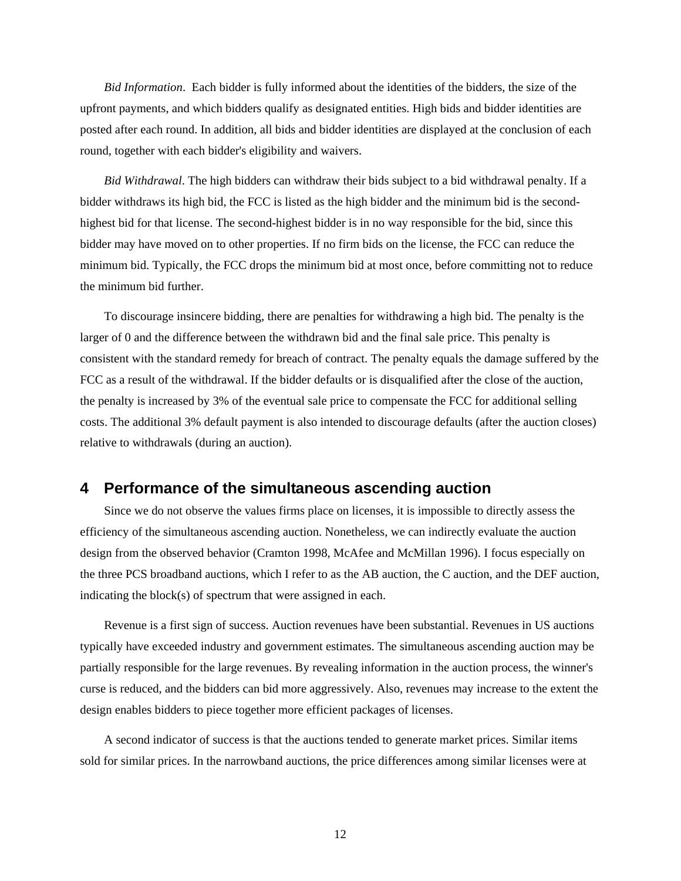*Bid Information*. Each bidder is fully informed about the identities of the bidders, the size of the upfront payments, and which bidders qualify as designated entities. High bids and bidder identities are posted after each round. In addition, all bids and bidder identities are displayed at the conclusion of each round, together with each bidder's eligibility and waivers.

*Bid Withdrawal*. The high bidders can withdraw their bids subject to a bid withdrawal penalty. If a bidder withdraws its high bid, the FCC is listed as the high bidder and the minimum bid is the secondhighest bid for that license. The second-highest bidder is in no way responsible for the bid, since this bidder may have moved on to other properties. If no firm bids on the license, the FCC can reduce the minimum bid. Typically, the FCC drops the minimum bid at most once, before committing not to reduce the minimum bid further.

To discourage insincere bidding, there are penalties for withdrawing a high bid. The penalty is the larger of 0 and the difference between the withdrawn bid and the final sale price. This penalty is consistent with the standard remedy for breach of contract. The penalty equals the damage suffered by the FCC as a result of the withdrawal. If the bidder defaults or is disqualified after the close of the auction, the penalty is increased by 3% of the eventual sale price to compensate the FCC for additional selling costs. The additional 3% default payment is also intended to discourage defaults (after the auction closes) relative to withdrawals (during an auction).

### **4 Performance of the simultaneous ascending auction**

Since we do not observe the values firms place on licenses, it is impossible to directly assess the efficiency of the simultaneous ascending auction. Nonetheless, we can indirectly evaluate the auction design from the observed behavior (Cramton 1998, McAfee and McMillan 1996). I focus especially on the three PCS broadband auctions, which I refer to as the AB auction, the C auction, and the DEF auction, indicating the block(s) of spectrum that were assigned in each.

Revenue is a first sign of success. Auction revenues have been substantial. Revenues in US auctions typically have exceeded industry and government estimates. The simultaneous ascending auction may be partially responsible for the large revenues. By revealing information in the auction process, the winner's curse is reduced, and the bidders can bid more aggressively. Also, revenues may increase to the extent the design enables bidders to piece together more efficient packages of licenses.

A second indicator of success is that the auctions tended to generate market prices. Similar items sold for similar prices. In the narrowband auctions, the price differences among similar licenses were at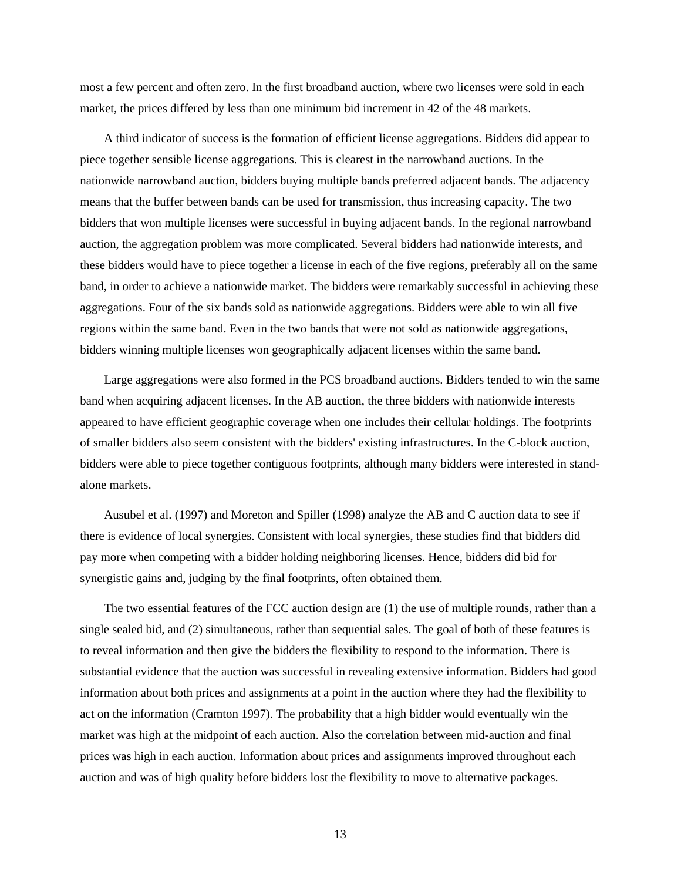most a few percent and often zero. In the first broadband auction, where two licenses were sold in each market, the prices differed by less than one minimum bid increment in 42 of the 48 markets.

A third indicator of success is the formation of efficient license aggregations. Bidders did appear to piece together sensible license aggregations. This is clearest in the narrowband auctions. In the nationwide narrowband auction, bidders buying multiple bands preferred adjacent bands. The adjacency means that the buffer between bands can be used for transmission, thus increasing capacity. The two bidders that won multiple licenses were successful in buying adjacent bands. In the regional narrowband auction, the aggregation problem was more complicated. Several bidders had nationwide interests, and these bidders would have to piece together a license in each of the five regions, preferably all on the same band, in order to achieve a nationwide market. The bidders were remarkably successful in achieving these aggregations. Four of the six bands sold as nationwide aggregations. Bidders were able to win all five regions within the same band. Even in the two bands that were not sold as nationwide aggregations, bidders winning multiple licenses won geographically adjacent licenses within the same band.

Large aggregations were also formed in the PCS broadband auctions. Bidders tended to win the same band when acquiring adjacent licenses. In the AB auction, the three bidders with nationwide interests appeared to have efficient geographic coverage when one includes their cellular holdings. The footprints of smaller bidders also seem consistent with the bidders' existing infrastructures. In the C-block auction, bidders were able to piece together contiguous footprints, although many bidders were interested in standalone markets.

Ausubel et al. (1997) and Moreton and Spiller (1998) analyze the AB and C auction data to see if there is evidence of local synergies. Consistent with local synergies, these studies find that bidders did pay more when competing with a bidder holding neighboring licenses. Hence, bidders did bid for synergistic gains and, judging by the final footprints, often obtained them.

The two essential features of the FCC auction design are (1) the use of multiple rounds, rather than a single sealed bid, and (2) simultaneous, rather than sequential sales. The goal of both of these features is to reveal information and then give the bidders the flexibility to respond to the information. There is substantial evidence that the auction was successful in revealing extensive information. Bidders had good information about both prices and assignments at a point in the auction where they had the flexibility to act on the information (Cramton 1997). The probability that a high bidder would eventually win the market was high at the midpoint of each auction. Also the correlation between mid-auction and final prices was high in each auction. Information about prices and assignments improved throughout each auction and was of high quality before bidders lost the flexibility to move to alternative packages.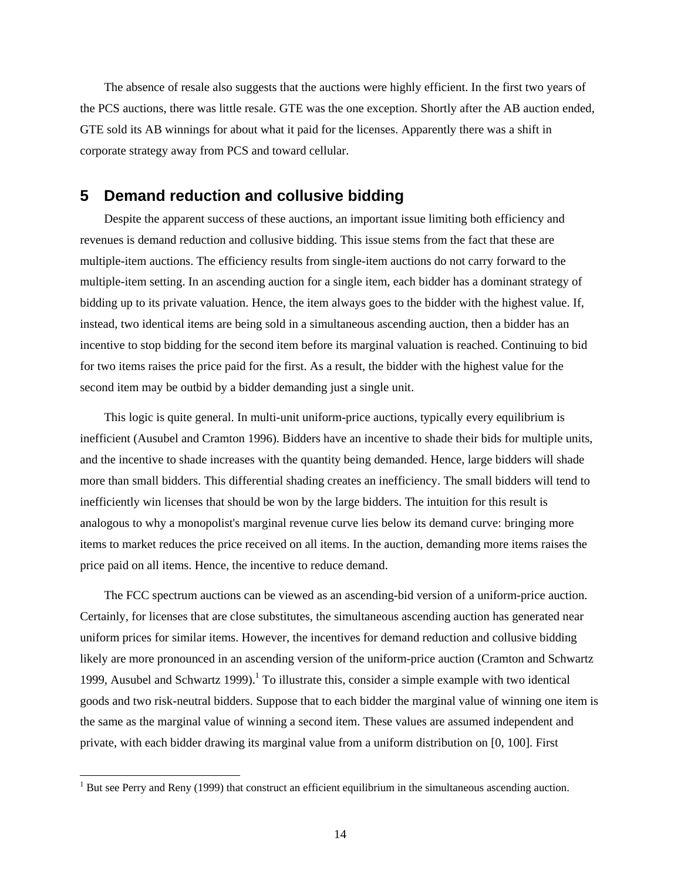The absence of resale also suggests that the auctions were highly efficient. In the first two years of the PCS auctions, there was little resale. GTE was the one exception. Shortly after the AB auction ended, GTE sold its AB winnings for about what it paid for the licenses. Apparently there was a shift in corporate strategy away from PCS and toward cellular.

### **5 Demand reduction and collusive bidding**

Despite the apparent success of these auctions, an important issue limiting both efficiency and revenues is demand reduction and collusive bidding. This issue stems from the fact that these are multiple-item auctions. The efficiency results from single-item auctions do not carry forward to the multiple-item setting. In an ascending auction for a single item, each bidder has a dominant strategy of bidding up to its private valuation. Hence, the item always goes to the bidder with the highest value. If, instead, two identical items are being sold in a simultaneous ascending auction, then a bidder has an incentive to stop bidding for the second item before its marginal valuation is reached. Continuing to bid for two items raises the price paid for the first. As a result, the bidder with the highest value for the second item may be outbid by a bidder demanding just a single unit.

This logic is quite general. In multi-unit uniform-price auctions, typically every equilibrium is inefficient (Ausubel and Cramton 1996). Bidders have an incentive to shade their bids for multiple units, and the incentive to shade increases with the quantity being demanded. Hence, large bidders will shade more than small bidders. This differential shading creates an inefficiency. The small bidders will tend to inefficiently win licenses that should be won by the large bidders. The intuition for this result is analogous to why a monopolist's marginal revenue curve lies below its demand curve: bringing more items to market reduces the price received on all items. In the auction, demanding more items raises the price paid on all items. Hence, the incentive to reduce demand.

The FCC spectrum auctions can be viewed as an ascending-bid version of a uniform-price auction. Certainly, for licenses that are close substitutes, the simultaneous ascending auction has generated near uniform prices for similar items. However, the incentives for demand reduction and collusive bidding likely are more pronounced in an ascending version of the uniform-price auction (Cramton and Schwartz 1999, Ausubel and Schwartz 1999).<sup>1</sup> To illustrate this, consider a simple example with two identical goods and two risk-neutral bidders. Suppose that to each bidder the marginal value of winning one item is the same as the marginal value of winning a second item. These values are assumed independent and private, with each bidder drawing its marginal value from a uniform distribution on [0, 100]. First

 $<sup>1</sup>$  But see Perry and Reny (1999) that construct an efficient equilibrium in the simultaneous ascending auction.</sup>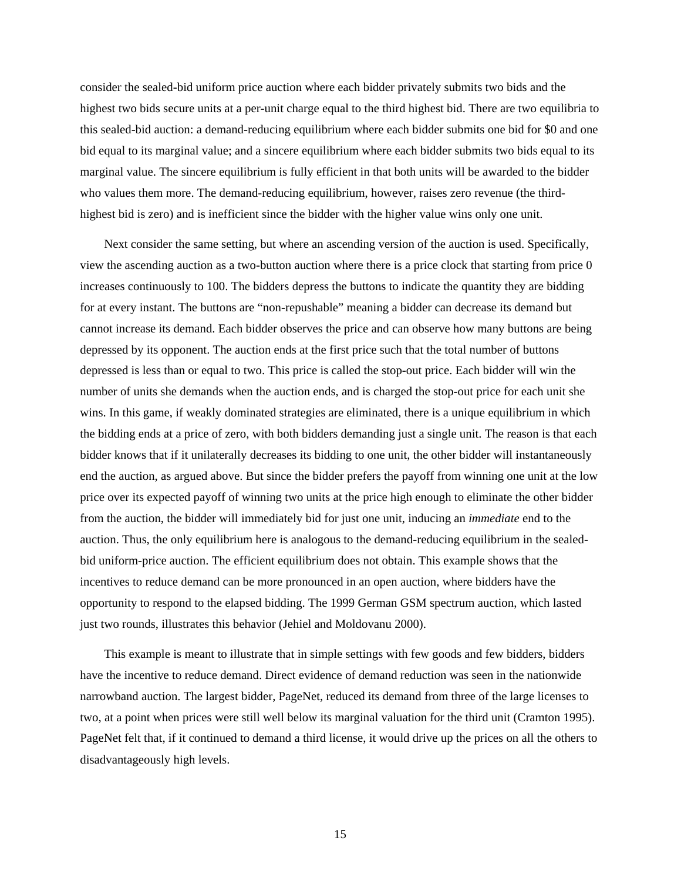consider the sealed-bid uniform price auction where each bidder privately submits two bids and the highest two bids secure units at a per-unit charge equal to the third highest bid. There are two equilibria to this sealed-bid auction: a demand-reducing equilibrium where each bidder submits one bid for \$0 and one bid equal to its marginal value; and a sincere equilibrium where each bidder submits two bids equal to its marginal value. The sincere equilibrium is fully efficient in that both units will be awarded to the bidder who values them more. The demand-reducing equilibrium, however, raises zero revenue (the thirdhighest bid is zero) and is inefficient since the bidder with the higher value wins only one unit.

Next consider the same setting, but where an ascending version of the auction is used. Specifically, view the ascending auction as a two-button auction where there is a price clock that starting from price 0 increases continuously to 100. The bidders depress the buttons to indicate the quantity they are bidding for at every instant. The buttons are "non-repushable" meaning a bidder can decrease its demand but cannot increase its demand. Each bidder observes the price and can observe how many buttons are being depressed by its opponent. The auction ends at the first price such that the total number of buttons depressed is less than or equal to two. This price is called the stop-out price. Each bidder will win the number of units she demands when the auction ends, and is charged the stop-out price for each unit she wins. In this game, if weakly dominated strategies are eliminated, there is a unique equilibrium in which the bidding ends at a price of zero, with both bidders demanding just a single unit. The reason is that each bidder knows that if it unilaterally decreases its bidding to one unit, the other bidder will instantaneously end the auction, as argued above. But since the bidder prefers the payoff from winning one unit at the low price over its expected payoff of winning two units at the price high enough to eliminate the other bidder from the auction, the bidder will immediately bid for just one unit, inducing an *immediate* end to the auction. Thus, the only equilibrium here is analogous to the demand-reducing equilibrium in the sealedbid uniform-price auction. The efficient equilibrium does not obtain. This example shows that the incentives to reduce demand can be more pronounced in an open auction, where bidders have the opportunity to respond to the elapsed bidding. The 1999 German GSM spectrum auction, which lasted just two rounds, illustrates this behavior (Jehiel and Moldovanu 2000).

This example is meant to illustrate that in simple settings with few goods and few bidders, bidders have the incentive to reduce demand. Direct evidence of demand reduction was seen in the nationwide narrowband auction. The largest bidder, PageNet, reduced its demand from three of the large licenses to two, at a point when prices were still well below its marginal valuation for the third unit (Cramton 1995). PageNet felt that, if it continued to demand a third license, it would drive up the prices on all the others to disadvantageously high levels.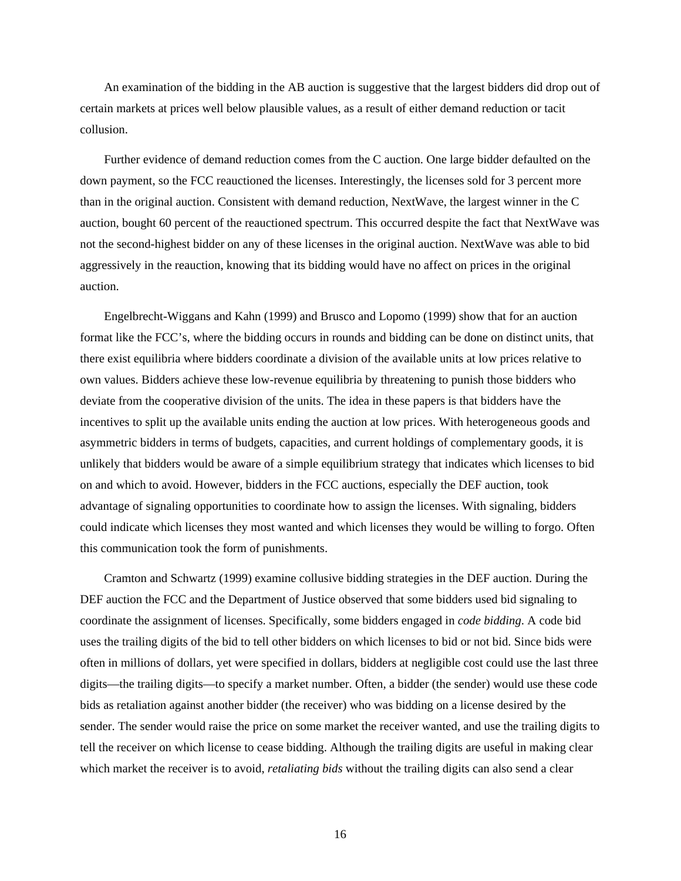An examination of the bidding in the AB auction is suggestive that the largest bidders did drop out of certain markets at prices well below plausible values, as a result of either demand reduction or tacit collusion.

Further evidence of demand reduction comes from the C auction. One large bidder defaulted on the down payment, so the FCC reauctioned the licenses. Interestingly, the licenses sold for 3 percent more than in the original auction. Consistent with demand reduction, NextWave, the largest winner in the C auction, bought 60 percent of the reauctioned spectrum. This occurred despite the fact that NextWave was not the second-highest bidder on any of these licenses in the original auction. NextWave was able to bid aggressively in the reauction, knowing that its bidding would have no affect on prices in the original auction.

Engelbrecht-Wiggans and Kahn (1999) and Brusco and Lopomo (1999) show that for an auction format like the FCC's, where the bidding occurs in rounds and bidding can be done on distinct units, that there exist equilibria where bidders coordinate a division of the available units at low prices relative to own values. Bidders achieve these low-revenue equilibria by threatening to punish those bidders who deviate from the cooperative division of the units. The idea in these papers is that bidders have the incentives to split up the available units ending the auction at low prices. With heterogeneous goods and asymmetric bidders in terms of budgets, capacities, and current holdings of complementary goods, it is unlikely that bidders would be aware of a simple equilibrium strategy that indicates which licenses to bid on and which to avoid. However, bidders in the FCC auctions, especially the DEF auction, took advantage of signaling opportunities to coordinate how to assign the licenses. With signaling, bidders could indicate which licenses they most wanted and which licenses they would be willing to forgo. Often this communication took the form of punishments.

Cramton and Schwartz (1999) examine collusive bidding strategies in the DEF auction. During the DEF auction the FCC and the Department of Justice observed that some bidders used bid signaling to coordinate the assignment of licenses. Specifically, some bidders engaged in *code bidding*. A code bid uses the trailing digits of the bid to tell other bidders on which licenses to bid or not bid. Since bids were often in millions of dollars, yet were specified in dollars, bidders at negligible cost could use the last three digits—the trailing digits—to specify a market number. Often, a bidder (the sender) would use these code bids as retaliation against another bidder (the receiver) who was bidding on a license desired by the sender. The sender would raise the price on some market the receiver wanted, and use the trailing digits to tell the receiver on which license to cease bidding. Although the trailing digits are useful in making clear which market the receiver is to avoid, *retaliating bids* without the trailing digits can also send a clear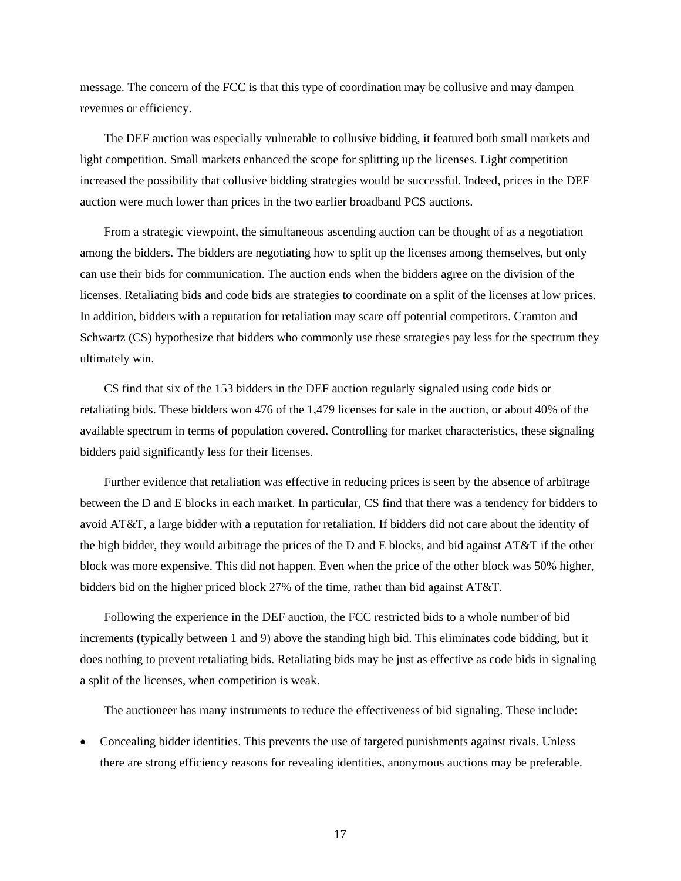message. The concern of the FCC is that this type of coordination may be collusive and may dampen revenues or efficiency.

The DEF auction was especially vulnerable to collusive bidding, it featured both small markets and light competition. Small markets enhanced the scope for splitting up the licenses. Light competition increased the possibility that collusive bidding strategies would be successful. Indeed, prices in the DEF auction were much lower than prices in the two earlier broadband PCS auctions.

From a strategic viewpoint, the simultaneous ascending auction can be thought of as a negotiation among the bidders. The bidders are negotiating how to split up the licenses among themselves, but only can use their bids for communication. The auction ends when the bidders agree on the division of the licenses. Retaliating bids and code bids are strategies to coordinate on a split of the licenses at low prices. In addition, bidders with a reputation for retaliation may scare off potential competitors. Cramton and Schwartz (CS) hypothesize that bidders who commonly use these strategies pay less for the spectrum they ultimately win.

CS find that six of the 153 bidders in the DEF auction regularly signaled using code bids or retaliating bids. These bidders won 476 of the 1,479 licenses for sale in the auction, or about 40% of the available spectrum in terms of population covered. Controlling for market characteristics, these signaling bidders paid significantly less for their licenses.

Further evidence that retaliation was effective in reducing prices is seen by the absence of arbitrage between the D and E blocks in each market. In particular, CS find that there was a tendency for bidders to avoid AT&T, a large bidder with a reputation for retaliation. If bidders did not care about the identity of the high bidder, they would arbitrage the prices of the D and E blocks, and bid against AT&T if the other block was more expensive. This did not happen. Even when the price of the other block was 50% higher, bidders bid on the higher priced block 27% of the time, rather than bid against AT&T.

Following the experience in the DEF auction, the FCC restricted bids to a whole number of bid increments (typically between 1 and 9) above the standing high bid. This eliminates code bidding, but it does nothing to prevent retaliating bids. Retaliating bids may be just as effective as code bids in signaling a split of the licenses, when competition is weak.

The auctioneer has many instruments to reduce the effectiveness of bid signaling. These include:

• Concealing bidder identities. This prevents the use of targeted punishments against rivals. Unless there are strong efficiency reasons for revealing identities, anonymous auctions may be preferable.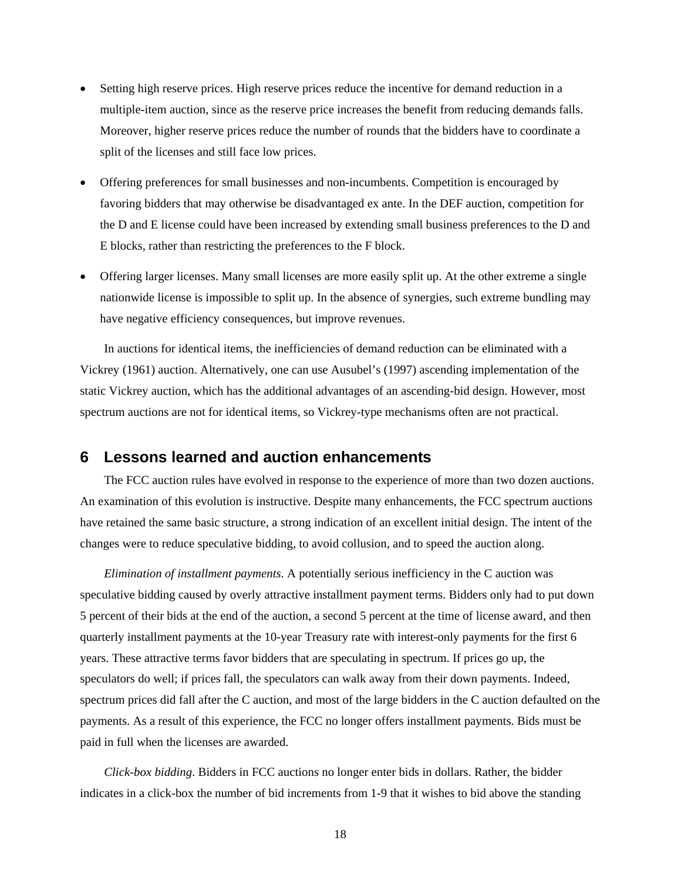- Setting high reserve prices. High reserve prices reduce the incentive for demand reduction in a multiple-item auction, since as the reserve price increases the benefit from reducing demands falls. Moreover, higher reserve prices reduce the number of rounds that the bidders have to coordinate a split of the licenses and still face low prices.
- Offering preferences for small businesses and non-incumbents. Competition is encouraged by favoring bidders that may otherwise be disadvantaged ex ante. In the DEF auction, competition for the D and E license could have been increased by extending small business preferences to the D and E blocks, rather than restricting the preferences to the F block.
- Offering larger licenses. Many small licenses are more easily split up. At the other extreme a single nationwide license is impossible to split up. In the absence of synergies, such extreme bundling may have negative efficiency consequences, but improve revenues.

In auctions for identical items, the inefficiencies of demand reduction can be eliminated with a Vickrey (1961) auction. Alternatively, one can use Ausubel's (1997) ascending implementation of the static Vickrey auction, which has the additional advantages of an ascending-bid design. However, most spectrum auctions are not for identical items, so Vickrey-type mechanisms often are not practical.

### **6 Lessons learned and auction enhancements**

The FCC auction rules have evolved in response to the experience of more than two dozen auctions. An examination of this evolution is instructive. Despite many enhancements, the FCC spectrum auctions have retained the same basic structure, a strong indication of an excellent initial design. The intent of the changes were to reduce speculative bidding, to avoid collusion, and to speed the auction along.

*Elimination of installment payments*. A potentially serious inefficiency in the C auction was speculative bidding caused by overly attractive installment payment terms. Bidders only had to put down 5 percent of their bids at the end of the auction, a second 5 percent at the time of license award, and then quarterly installment payments at the 10-year Treasury rate with interest-only payments for the first 6 years. These attractive terms favor bidders that are speculating in spectrum. If prices go up, the speculators do well; if prices fall, the speculators can walk away from their down payments. Indeed, spectrum prices did fall after the C auction, and most of the large bidders in the C auction defaulted on the payments. As a result of this experience, the FCC no longer offers installment payments. Bids must be paid in full when the licenses are awarded.

*Click-box bidding*. Bidders in FCC auctions no longer enter bids in dollars. Rather, the bidder indicates in a click-box the number of bid increments from 1-9 that it wishes to bid above the standing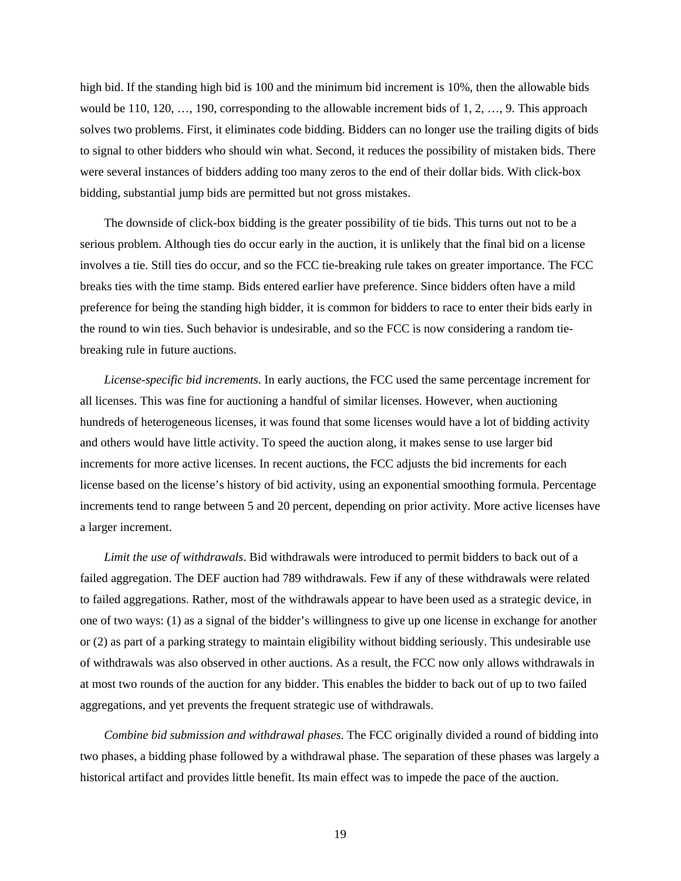high bid. If the standing high bid is 100 and the minimum bid increment is 10%, then the allowable bids would be 110, 120, …, 190, corresponding to the allowable increment bids of 1, 2, …, 9. This approach solves two problems. First, it eliminates code bidding. Bidders can no longer use the trailing digits of bids to signal to other bidders who should win what. Second, it reduces the possibility of mistaken bids. There were several instances of bidders adding too many zeros to the end of their dollar bids. With click-box bidding, substantial jump bids are permitted but not gross mistakes.

The downside of click-box bidding is the greater possibility of tie bids. This turns out not to be a serious problem. Although ties do occur early in the auction, it is unlikely that the final bid on a license involves a tie. Still ties do occur, and so the FCC tie-breaking rule takes on greater importance. The FCC breaks ties with the time stamp. Bids entered earlier have preference. Since bidders often have a mild preference for being the standing high bidder, it is common for bidders to race to enter their bids early in the round to win ties. Such behavior is undesirable, and so the FCC is now considering a random tiebreaking rule in future auctions.

*License-specific bid increments*. In early auctions, the FCC used the same percentage increment for all licenses. This was fine for auctioning a handful of similar licenses. However, when auctioning hundreds of heterogeneous licenses, it was found that some licenses would have a lot of bidding activity and others would have little activity. To speed the auction along, it makes sense to use larger bid increments for more active licenses. In recent auctions, the FCC adjusts the bid increments for each license based on the license's history of bid activity, using an exponential smoothing formula. Percentage increments tend to range between 5 and 20 percent, depending on prior activity. More active licenses have a larger increment.

*Limit the use of withdrawals*. Bid withdrawals were introduced to permit bidders to back out of a failed aggregation. The DEF auction had 789 withdrawals. Few if any of these withdrawals were related to failed aggregations. Rather, most of the withdrawals appear to have been used as a strategic device, in one of two ways: (1) as a signal of the bidder's willingness to give up one license in exchange for another or (2) as part of a parking strategy to maintain eligibility without bidding seriously. This undesirable use of withdrawals was also observed in other auctions. As a result, the FCC now only allows withdrawals in at most two rounds of the auction for any bidder. This enables the bidder to back out of up to two failed aggregations, and yet prevents the frequent strategic use of withdrawals.

*Combine bid submission and withdrawal phases*. The FCC originally divided a round of bidding into two phases, a bidding phase followed by a withdrawal phase. The separation of these phases was largely a historical artifact and provides little benefit. Its main effect was to impede the pace of the auction.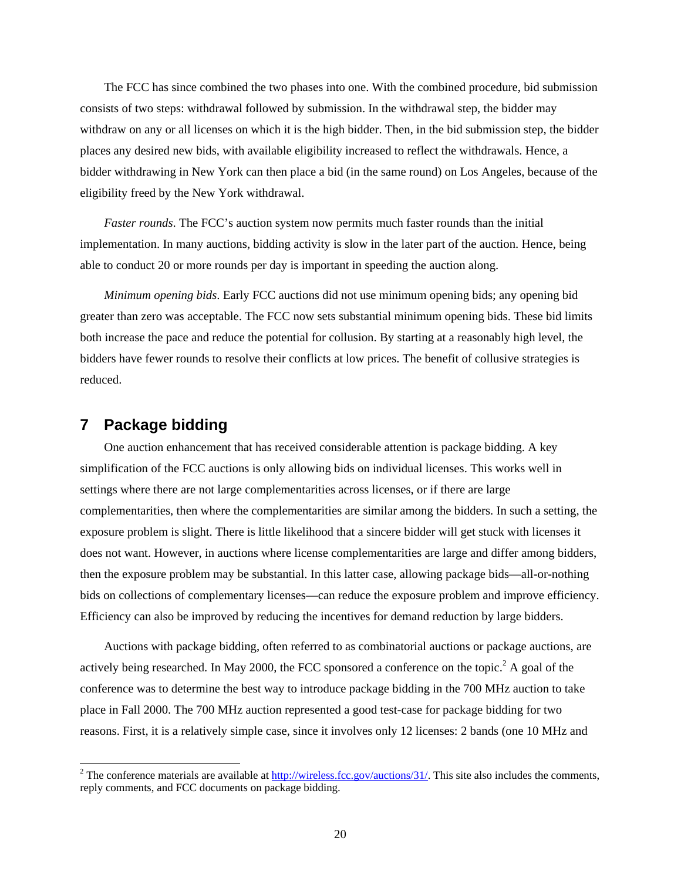The FCC has since combined the two phases into one. With the combined procedure, bid submission consists of two steps: withdrawal followed by submission. In the withdrawal step, the bidder may withdraw on any or all licenses on which it is the high bidder. Then, in the bid submission step, the bidder places any desired new bids, with available eligibility increased to reflect the withdrawals. Hence, a bidder withdrawing in New York can then place a bid (in the same round) on Los Angeles, because of the eligibility freed by the New York withdrawal.

*Faster rounds*. The FCC's auction system now permits much faster rounds than the initial implementation. In many auctions, bidding activity is slow in the later part of the auction. Hence, being able to conduct 20 or more rounds per day is important in speeding the auction along.

*Minimum opening bids*. Early FCC auctions did not use minimum opening bids; any opening bid greater than zero was acceptable. The FCC now sets substantial minimum opening bids. These bid limits both increase the pace and reduce the potential for collusion. By starting at a reasonably high level, the bidders have fewer rounds to resolve their conflicts at low prices. The benefit of collusive strategies is reduced.

### **7 Package bidding**

l

One auction enhancement that has received considerable attention is package bidding. A key simplification of the FCC auctions is only allowing bids on individual licenses. This works well in settings where there are not large complementarities across licenses, or if there are large complementarities, then where the complementarities are similar among the bidders. In such a setting, the exposure problem is slight. There is little likelihood that a sincere bidder will get stuck with licenses it does not want. However, in auctions where license complementarities are large and differ among bidders, then the exposure problem may be substantial. In this latter case, allowing package bids—all-or-nothing bids on collections of complementary licenses—can reduce the exposure problem and improve efficiency. Efficiency can also be improved by reducing the incentives for demand reduction by large bidders.

Auctions with package bidding, often referred to as combinatorial auctions or package auctions, are actively being researched. In May 2000, the FCC sponsored a conference on the topic.<sup>2</sup> A goal of the conference was to determine the best way to introduce package bidding in the 700 MHz auction to take place in Fall 2000. The 700 MHz auction represented a good test-case for package bidding for two reasons. First, it is a relatively simple case, since it involves only 12 licenses: 2 bands (one 10 MHz and

<sup>&</sup>lt;sup>2</sup> The conference materials are available at  $\frac{http://wireless.fcc.gov/auctions/31/}{http://wireless.fcc.gov/auctions/31/}$ . This site also includes the comments, reply comments, and FCC documents on package bidding.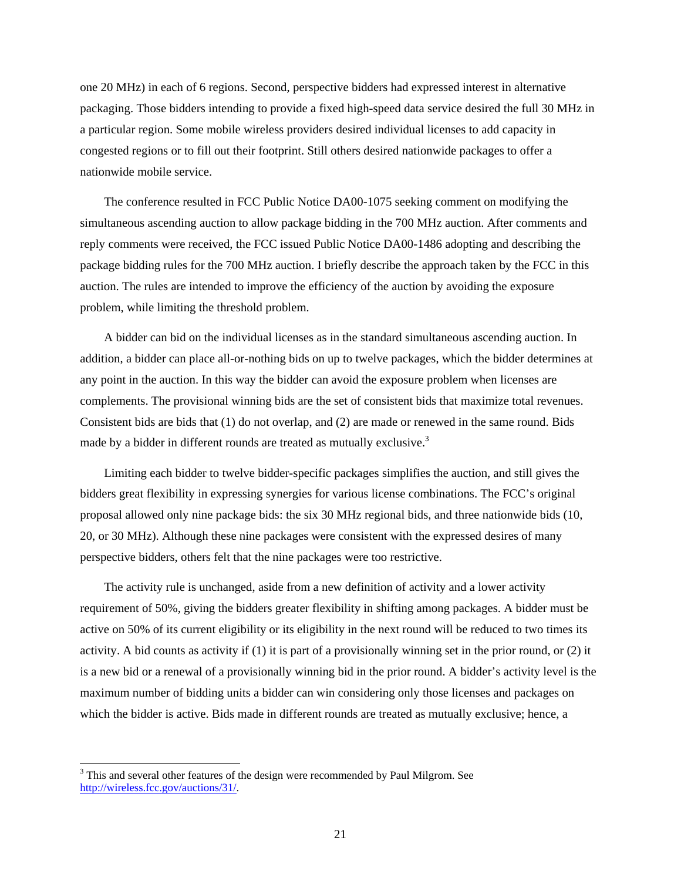one 20 MHz) in each of 6 regions. Second, perspective bidders had expressed interest in alternative packaging. Those bidders intending to provide a fixed high-speed data service desired the full 30 MHz in a particular region. Some mobile wireless providers desired individual licenses to add capacity in congested regions or to fill out their footprint. Still others desired nationwide packages to offer a nationwide mobile service.

The conference resulted in FCC Public Notice DA00-1075 seeking comment on modifying the simultaneous ascending auction to allow package bidding in the 700 MHz auction. After comments and reply comments were received, the FCC issued Public Notice DA00-1486 adopting and describing the package bidding rules for the 700 MHz auction. I briefly describe the approach taken by the FCC in this auction. The rules are intended to improve the efficiency of the auction by avoiding the exposure problem, while limiting the threshold problem.

A bidder can bid on the individual licenses as in the standard simultaneous ascending auction. In addition, a bidder can place all-or-nothing bids on up to twelve packages, which the bidder determines at any point in the auction. In this way the bidder can avoid the exposure problem when licenses are complements. The provisional winning bids are the set of consistent bids that maximize total revenues. Consistent bids are bids that (1) do not overlap, and (2) are made or renewed in the same round. Bids made by a bidder in different rounds are treated as mutually exclusive.<sup>3</sup>

Limiting each bidder to twelve bidder-specific packages simplifies the auction, and still gives the bidders great flexibility in expressing synergies for various license combinations. The FCC's original proposal allowed only nine package bids: the six 30 MHz regional bids, and three nationwide bids (10, 20, or 30 MHz). Although these nine packages were consistent with the expressed desires of many perspective bidders, others felt that the nine packages were too restrictive.

The activity rule is unchanged, aside from a new definition of activity and a lower activity requirement of 50%, giving the bidders greater flexibility in shifting among packages. A bidder must be active on 50% of its current eligibility or its eligibility in the next round will be reduced to two times its activity. A bid counts as activity if (1) it is part of a provisionally winning set in the prior round, or (2) it is a new bid or a renewal of a provisionally winning bid in the prior round. A bidder's activity level is the maximum number of bidding units a bidder can win considering only those licenses and packages on which the bidder is active. Bids made in different rounds are treated as mutually exclusive; hence, a

 $3$  This and several other features of the design were recommended by Paul Milgrom. See http://wireless.fcc.gov/auctions/31/.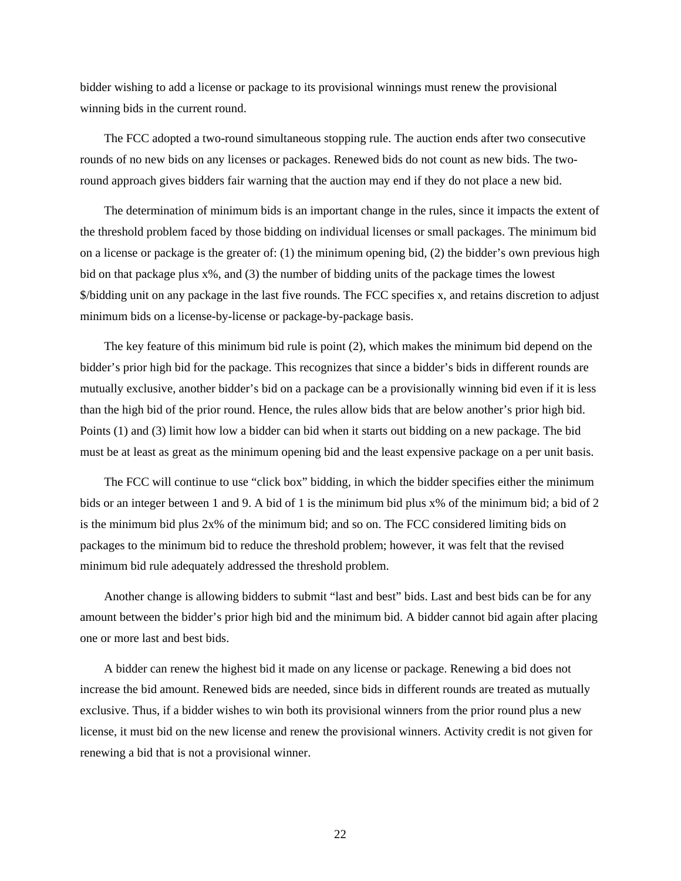bidder wishing to add a license or package to its provisional winnings must renew the provisional winning bids in the current round.

The FCC adopted a two-round simultaneous stopping rule. The auction ends after two consecutive rounds of no new bids on any licenses or packages. Renewed bids do not count as new bids. The tworound approach gives bidders fair warning that the auction may end if they do not place a new bid.

The determination of minimum bids is an important change in the rules, since it impacts the extent of the threshold problem faced by those bidding on individual licenses or small packages. The minimum bid on a license or package is the greater of: (1) the minimum opening bid, (2) the bidder's own previous high bid on that package plus x%, and (3) the number of bidding units of the package times the lowest \$/bidding unit on any package in the last five rounds. The FCC specifies x, and retains discretion to adjust minimum bids on a license-by-license or package-by-package basis.

The key feature of this minimum bid rule is point (2), which makes the minimum bid depend on the bidder's prior high bid for the package. This recognizes that since a bidder's bids in different rounds are mutually exclusive, another bidder's bid on a package can be a provisionally winning bid even if it is less than the high bid of the prior round. Hence, the rules allow bids that are below another's prior high bid. Points (1) and (3) limit how low a bidder can bid when it starts out bidding on a new package. The bid must be at least as great as the minimum opening bid and the least expensive package on a per unit basis.

The FCC will continue to use "click box" bidding, in which the bidder specifies either the minimum bids or an integer between 1 and 9. A bid of 1 is the minimum bid plus x% of the minimum bid; a bid of 2 is the minimum bid plus  $2x\%$  of the minimum bid; and so on. The FCC considered limiting bids on packages to the minimum bid to reduce the threshold problem; however, it was felt that the revised minimum bid rule adequately addressed the threshold problem.

Another change is allowing bidders to submit "last and best" bids. Last and best bids can be for any amount between the bidder's prior high bid and the minimum bid. A bidder cannot bid again after placing one or more last and best bids.

A bidder can renew the highest bid it made on any license or package. Renewing a bid does not increase the bid amount. Renewed bids are needed, since bids in different rounds are treated as mutually exclusive. Thus, if a bidder wishes to win both its provisional winners from the prior round plus a new license, it must bid on the new license and renew the provisional winners. Activity credit is not given for renewing a bid that is not a provisional winner.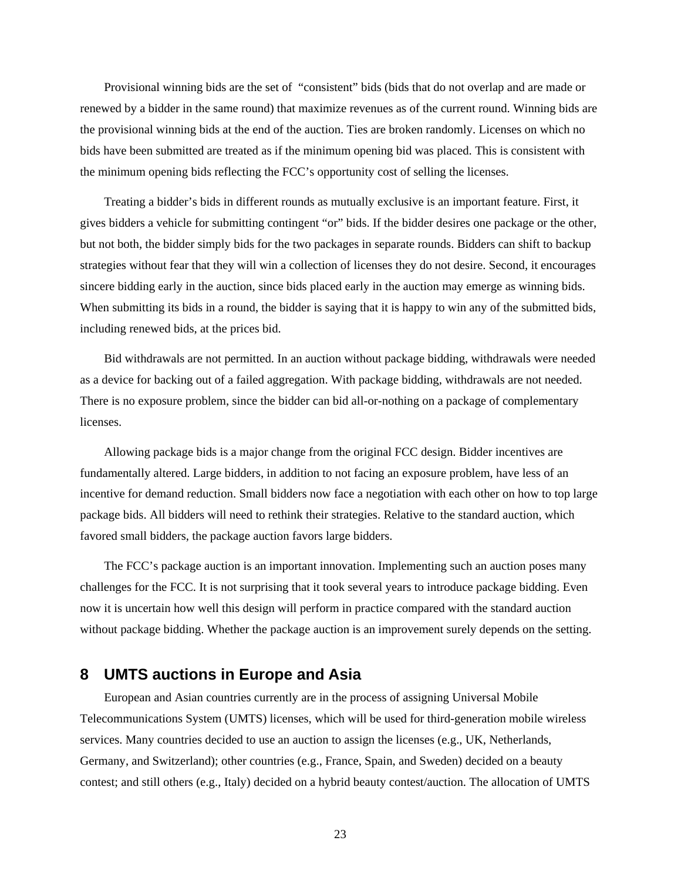Provisional winning bids are the set of "consistent" bids (bids that do not overlap and are made or renewed by a bidder in the same round) that maximize revenues as of the current round. Winning bids are the provisional winning bids at the end of the auction. Ties are broken randomly. Licenses on which no bids have been submitted are treated as if the minimum opening bid was placed. This is consistent with the minimum opening bids reflecting the FCC's opportunity cost of selling the licenses.

Treating a bidder's bids in different rounds as mutually exclusive is an important feature. First, it gives bidders a vehicle for submitting contingent "or" bids. If the bidder desires one package or the other, but not both, the bidder simply bids for the two packages in separate rounds. Bidders can shift to backup strategies without fear that they will win a collection of licenses they do not desire. Second, it encourages sincere bidding early in the auction, since bids placed early in the auction may emerge as winning bids. When submitting its bids in a round, the bidder is saying that it is happy to win any of the submitted bids, including renewed bids, at the prices bid.

Bid withdrawals are not permitted. In an auction without package bidding, withdrawals were needed as a device for backing out of a failed aggregation. With package bidding, withdrawals are not needed. There is no exposure problem, since the bidder can bid all-or-nothing on a package of complementary licenses.

Allowing package bids is a major change from the original FCC design. Bidder incentives are fundamentally altered. Large bidders, in addition to not facing an exposure problem, have less of an incentive for demand reduction. Small bidders now face a negotiation with each other on how to top large package bids. All bidders will need to rethink their strategies. Relative to the standard auction, which favored small bidders, the package auction favors large bidders.

The FCC's package auction is an important innovation. Implementing such an auction poses many challenges for the FCC. It is not surprising that it took several years to introduce package bidding. Even now it is uncertain how well this design will perform in practice compared with the standard auction without package bidding. Whether the package auction is an improvement surely depends on the setting.

### **8 UMTS auctions in Europe and Asia**

European and Asian countries currently are in the process of assigning Universal Mobile Telecommunications System (UMTS) licenses, which will be used for third-generation mobile wireless services. Many countries decided to use an auction to assign the licenses (e.g., UK, Netherlands, Germany, and Switzerland); other countries (e.g., France, Spain, and Sweden) decided on a beauty contest; and still others (e.g., Italy) decided on a hybrid beauty contest/auction. The allocation of UMTS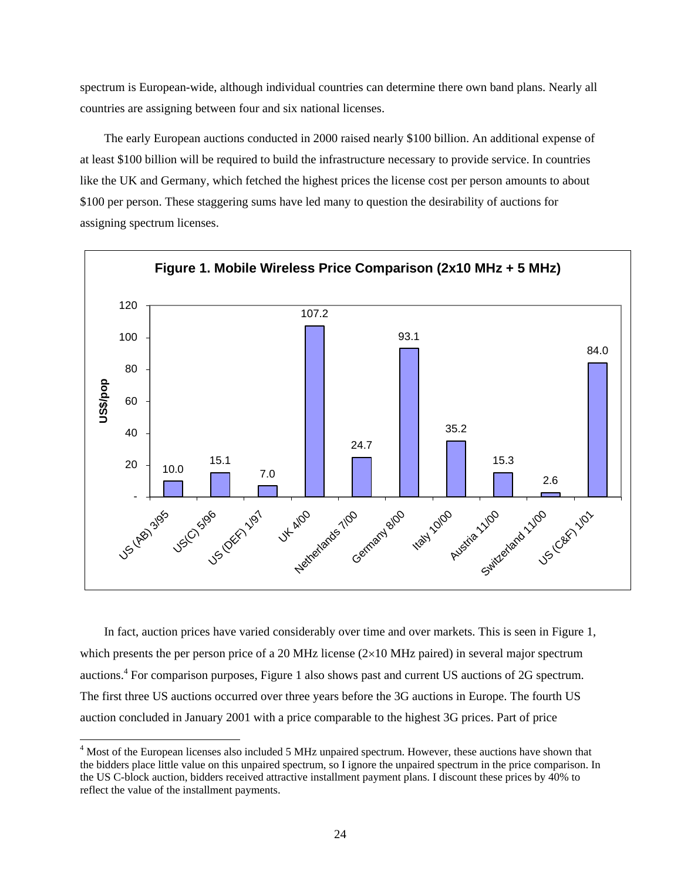spectrum is European-wide, although individual countries can determine there own band plans. Nearly all countries are assigning between four and six national licenses.

The early European auctions conducted in 2000 raised nearly \$100 billion. An additional expense of at least \$100 billion will be required to build the infrastructure necessary to provide service. In countries like the UK and Germany, which fetched the highest prices the license cost per person amounts to about \$100 per person. These staggering sums have led many to question the desirability of auctions for assigning spectrum licenses.



In fact, auction prices have varied considerably over time and over markets. This is seen in Figure 1, which presents the per person price of a 20 MHz license (2×10 MHz paired) in several major spectrum auctions.<sup>4</sup> For comparison purposes, Figure 1 also shows past and current US auctions of 2G spectrum. The first three US auctions occurred over three years before the 3G auctions in Europe. The fourth US auction concluded in January 2001 with a price comparable to the highest 3G prices. Part of price

<sup>&</sup>lt;sup>4</sup> Most of the European licenses also included 5 MHz unpaired spectrum. However, these auctions have shown that the bidders place little value on this unpaired spectrum, so I ignore the unpaired spectrum in the price comparison. In the US C-block auction, bidders received attractive installment payment plans. I discount these prices by 40% to reflect the value of the installment payments.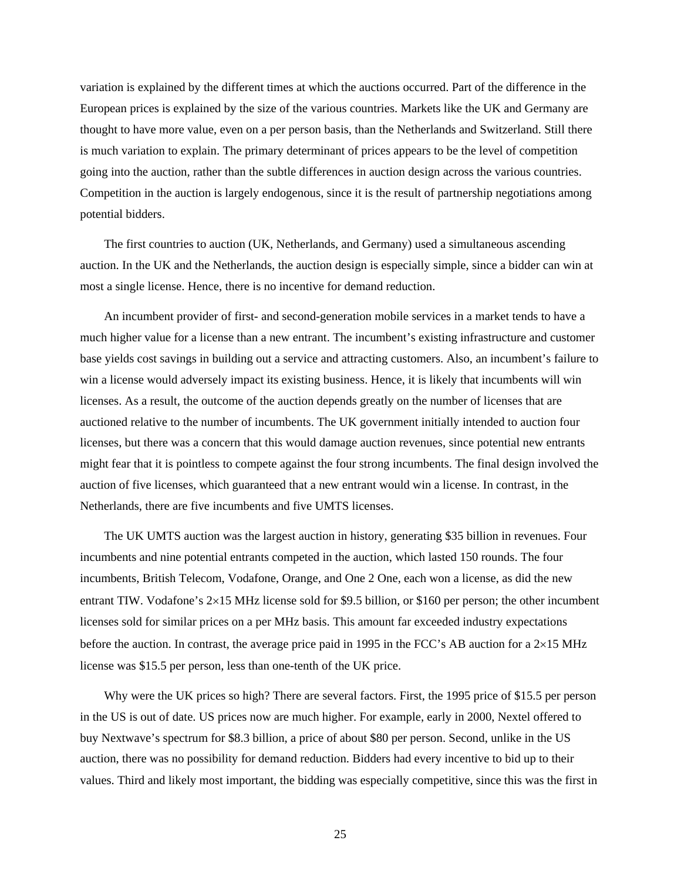variation is explained by the different times at which the auctions occurred. Part of the difference in the European prices is explained by the size of the various countries. Markets like the UK and Germany are thought to have more value, even on a per person basis, than the Netherlands and Switzerland. Still there is much variation to explain. The primary determinant of prices appears to be the level of competition going into the auction, rather than the subtle differences in auction design across the various countries. Competition in the auction is largely endogenous, since it is the result of partnership negotiations among potential bidders.

The first countries to auction (UK, Netherlands, and Germany) used a simultaneous ascending auction. In the UK and the Netherlands, the auction design is especially simple, since a bidder can win at most a single license. Hence, there is no incentive for demand reduction.

An incumbent provider of first- and second-generation mobile services in a market tends to have a much higher value for a license than a new entrant. The incumbent's existing infrastructure and customer base yields cost savings in building out a service and attracting customers. Also, an incumbent's failure to win a license would adversely impact its existing business. Hence, it is likely that incumbents will win licenses. As a result, the outcome of the auction depends greatly on the number of licenses that are auctioned relative to the number of incumbents. The UK government initially intended to auction four licenses, but there was a concern that this would damage auction revenues, since potential new entrants might fear that it is pointless to compete against the four strong incumbents. The final design involved the auction of five licenses, which guaranteed that a new entrant would win a license. In contrast, in the Netherlands, there are five incumbents and five UMTS licenses.

The UK UMTS auction was the largest auction in history, generating \$35 billion in revenues. Four incumbents and nine potential entrants competed in the auction, which lasted 150 rounds. The four incumbents, British Telecom, Vodafone, Orange, and One 2 One, each won a license, as did the new entrant TIW. Vodafone's 2×15 MHz license sold for \$9.5 billion, or \$160 per person; the other incumbent licenses sold for similar prices on a per MHz basis. This amount far exceeded industry expectations before the auction. In contrast, the average price paid in 1995 in the FCC's AB auction for a 2×15 MHz license was \$15.5 per person, less than one-tenth of the UK price.

Why were the UK prices so high? There are several factors. First, the 1995 price of \$15.5 per person in the US is out of date. US prices now are much higher. For example, early in 2000, Nextel offered to buy Nextwave's spectrum for \$8.3 billion, a price of about \$80 per person. Second, unlike in the US auction, there was no possibility for demand reduction. Bidders had every incentive to bid up to their values. Third and likely most important, the bidding was especially competitive, since this was the first in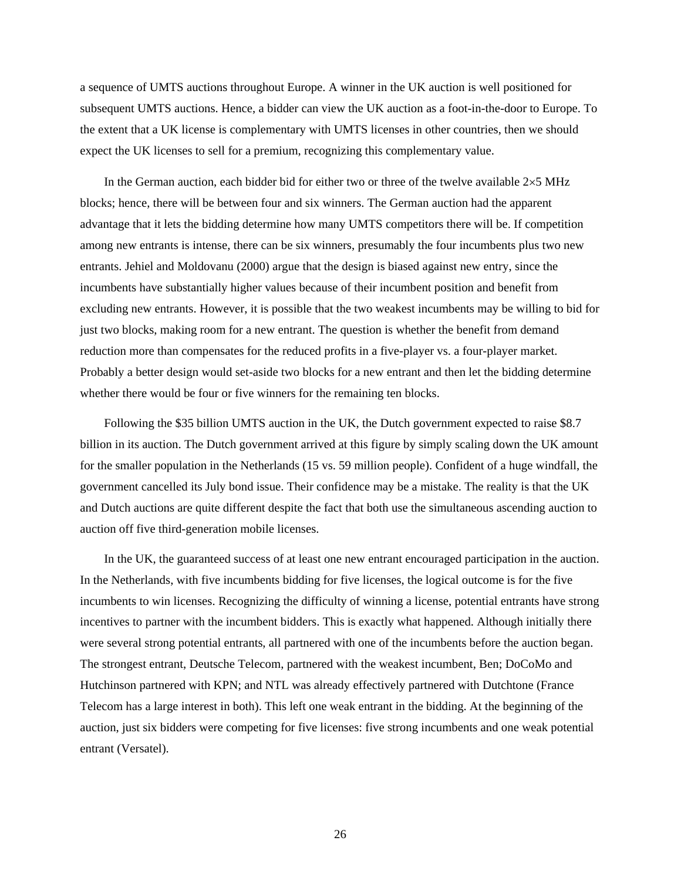a sequence of UMTS auctions throughout Europe. A winner in the UK auction is well positioned for subsequent UMTS auctions. Hence, a bidder can view the UK auction as a foot-in-the-door to Europe. To the extent that a UK license is complementary with UMTS licenses in other countries, then we should expect the UK licenses to sell for a premium, recognizing this complementary value.

In the German auction, each bidder bid for either two or three of the twelve available  $2\times5$  MHz blocks; hence, there will be between four and six winners. The German auction had the apparent advantage that it lets the bidding determine how many UMTS competitors there will be. If competition among new entrants is intense, there can be six winners, presumably the four incumbents plus two new entrants. Jehiel and Moldovanu (2000) argue that the design is biased against new entry, since the incumbents have substantially higher values because of their incumbent position and benefit from excluding new entrants. However, it is possible that the two weakest incumbents may be willing to bid for just two blocks, making room for a new entrant. The question is whether the benefit from demand reduction more than compensates for the reduced profits in a five-player vs. a four-player market. Probably a better design would set-aside two blocks for a new entrant and then let the bidding determine whether there would be four or five winners for the remaining ten blocks.

Following the \$35 billion UMTS auction in the UK, the Dutch government expected to raise \$8.7 billion in its auction. The Dutch government arrived at this figure by simply scaling down the UK amount for the smaller population in the Netherlands (15 vs. 59 million people). Confident of a huge windfall, the government cancelled its July bond issue. Their confidence may be a mistake. The reality is that the UK and Dutch auctions are quite different despite the fact that both use the simultaneous ascending auction to auction off five third-generation mobile licenses.

In the UK, the guaranteed success of at least one new entrant encouraged participation in the auction. In the Netherlands, with five incumbents bidding for five licenses, the logical outcome is for the five incumbents to win licenses. Recognizing the difficulty of winning a license, potential entrants have strong incentives to partner with the incumbent bidders. This is exactly what happened. Although initially there were several strong potential entrants, all partnered with one of the incumbents before the auction began. The strongest entrant, Deutsche Telecom, partnered with the weakest incumbent, Ben; DoCoMo and Hutchinson partnered with KPN; and NTL was already effectively partnered with Dutchtone (France Telecom has a large interest in both). This left one weak entrant in the bidding. At the beginning of the auction, just six bidders were competing for five licenses: five strong incumbents and one weak potential entrant (Versatel).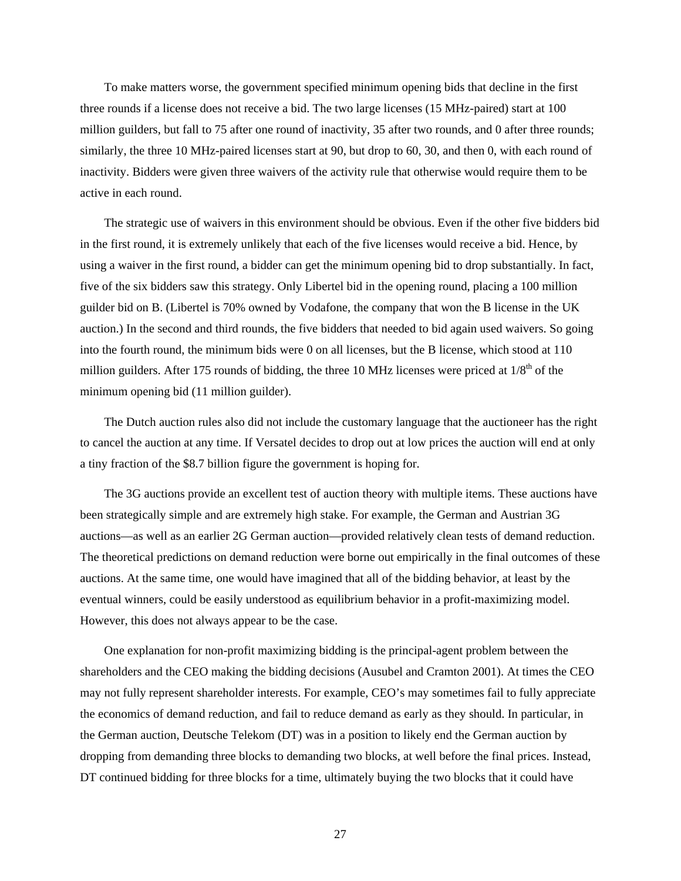To make matters worse, the government specified minimum opening bids that decline in the first three rounds if a license does not receive a bid. The two large licenses (15 MHz-paired) start at 100 million guilders, but fall to 75 after one round of inactivity, 35 after two rounds, and 0 after three rounds; similarly, the three 10 MHz-paired licenses start at 90, but drop to 60, 30, and then 0, with each round of inactivity. Bidders were given three waivers of the activity rule that otherwise would require them to be active in each round.

The strategic use of waivers in this environment should be obvious. Even if the other five bidders bid in the first round, it is extremely unlikely that each of the five licenses would receive a bid. Hence, by using a waiver in the first round, a bidder can get the minimum opening bid to drop substantially. In fact, five of the six bidders saw this strategy. Only Libertel bid in the opening round, placing a 100 million guilder bid on B. (Libertel is 70% owned by Vodafone, the company that won the B license in the UK auction.) In the second and third rounds, the five bidders that needed to bid again used waivers. So going into the fourth round, the minimum bids were 0 on all licenses, but the B license, which stood at 110 million guilders. After 175 rounds of bidding, the three 10 MHz licenses were priced at  $1/8^{th}$  of the minimum opening bid (11 million guilder).

The Dutch auction rules also did not include the customary language that the auctioneer has the right to cancel the auction at any time. If Versatel decides to drop out at low prices the auction will end at only a tiny fraction of the \$8.7 billion figure the government is hoping for.

The 3G auctions provide an excellent test of auction theory with multiple items. These auctions have been strategically simple and are extremely high stake. For example, the German and Austrian 3G auctions—as well as an earlier 2G German auction—provided relatively clean tests of demand reduction. The theoretical predictions on demand reduction were borne out empirically in the final outcomes of these auctions. At the same time, one would have imagined that all of the bidding behavior, at least by the eventual winners, could be easily understood as equilibrium behavior in a profit-maximizing model. However, this does not always appear to be the case.

One explanation for non-profit maximizing bidding is the principal-agent problem between the shareholders and the CEO making the bidding decisions (Ausubel and Cramton 2001). At times the CEO may not fully represent shareholder interests. For example, CEO's may sometimes fail to fully appreciate the economics of demand reduction, and fail to reduce demand as early as they should. In particular, in the German auction, Deutsche Telekom (DT) was in a position to likely end the German auction by dropping from demanding three blocks to demanding two blocks, at well before the final prices. Instead, DT continued bidding for three blocks for a time, ultimately buying the two blocks that it could have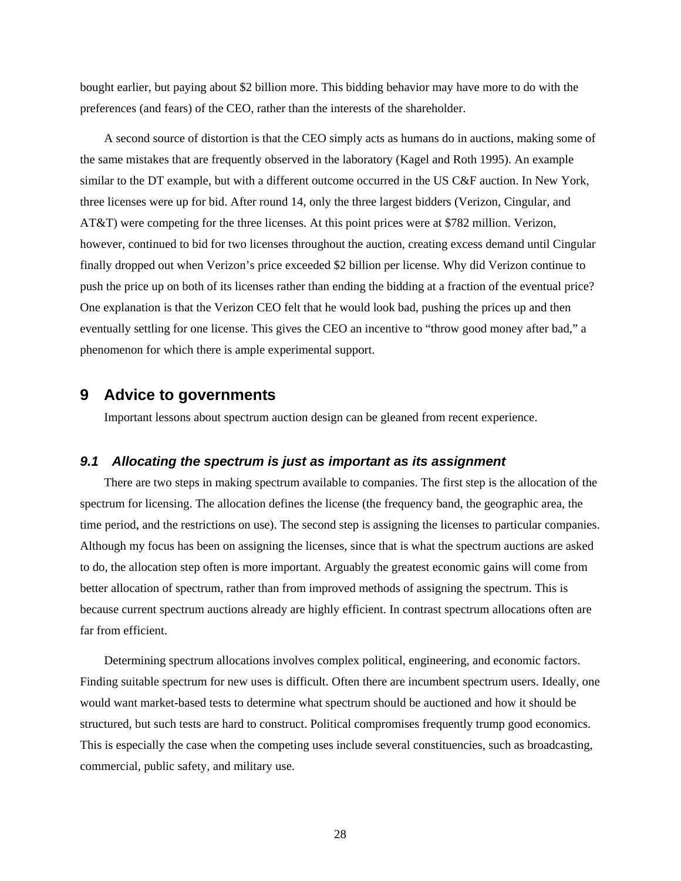bought earlier, but paying about \$2 billion more. This bidding behavior may have more to do with the preferences (and fears) of the CEO, rather than the interests of the shareholder.

A second source of distortion is that the CEO simply acts as humans do in auctions, making some of the same mistakes that are frequently observed in the laboratory (Kagel and Roth 1995). An example similar to the DT example, but with a different outcome occurred in the US C&F auction. In New York, three licenses were up for bid. After round 14, only the three largest bidders (Verizon, Cingular, and AT&T) were competing for the three licenses. At this point prices were at \$782 million. Verizon, however, continued to bid for two licenses throughout the auction, creating excess demand until Cingular finally dropped out when Verizon's price exceeded \$2 billion per license. Why did Verizon continue to push the price up on both of its licenses rather than ending the bidding at a fraction of the eventual price? One explanation is that the Verizon CEO felt that he would look bad, pushing the prices up and then eventually settling for one license. This gives the CEO an incentive to "throw good money after bad," a phenomenon for which there is ample experimental support.

### **9 Advice to governments**

Important lessons about spectrum auction design can be gleaned from recent experience.

### *9.1 Allocating the spectrum is just as important as its assignment*

There are two steps in making spectrum available to companies. The first step is the allocation of the spectrum for licensing. The allocation defines the license (the frequency band, the geographic area, the time period, and the restrictions on use). The second step is assigning the licenses to particular companies. Although my focus has been on assigning the licenses, since that is what the spectrum auctions are asked to do, the allocation step often is more important. Arguably the greatest economic gains will come from better allocation of spectrum, rather than from improved methods of assigning the spectrum. This is because current spectrum auctions already are highly efficient. In contrast spectrum allocations often are far from efficient.

Determining spectrum allocations involves complex political, engineering, and economic factors. Finding suitable spectrum for new uses is difficult. Often there are incumbent spectrum users. Ideally, one would want market-based tests to determine what spectrum should be auctioned and how it should be structured, but such tests are hard to construct. Political compromises frequently trump good economics. This is especially the case when the competing uses include several constituencies, such as broadcasting, commercial, public safety, and military use.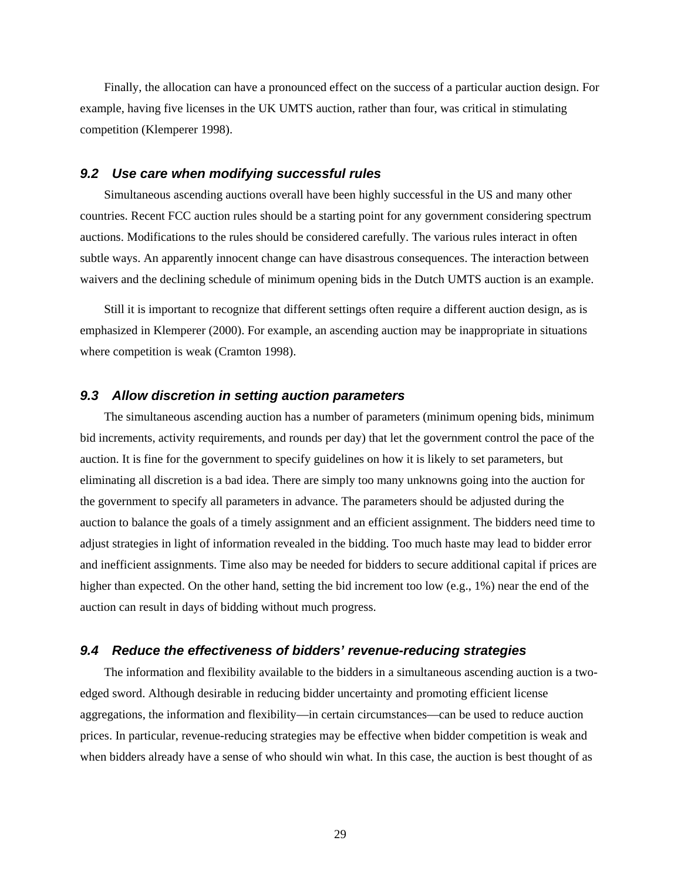Finally, the allocation can have a pronounced effect on the success of a particular auction design. For example, having five licenses in the UK UMTS auction, rather than four, was critical in stimulating competition (Klemperer 1998).

#### *9.2 Use care when modifying successful rules*

Simultaneous ascending auctions overall have been highly successful in the US and many other countries. Recent FCC auction rules should be a starting point for any government considering spectrum auctions. Modifications to the rules should be considered carefully. The various rules interact in often subtle ways. An apparently innocent change can have disastrous consequences. The interaction between waivers and the declining schedule of minimum opening bids in the Dutch UMTS auction is an example.

Still it is important to recognize that different settings often require a different auction design, as is emphasized in Klemperer (2000). For example, an ascending auction may be inappropriate in situations where competition is weak (Cramton 1998).

#### *9.3 Allow discretion in setting auction parameters*

The simultaneous ascending auction has a number of parameters (minimum opening bids, minimum bid increments, activity requirements, and rounds per day) that let the government control the pace of the auction. It is fine for the government to specify guidelines on how it is likely to set parameters, but eliminating all discretion is a bad idea. There are simply too many unknowns going into the auction for the government to specify all parameters in advance. The parameters should be adjusted during the auction to balance the goals of a timely assignment and an efficient assignment. The bidders need time to adjust strategies in light of information revealed in the bidding. Too much haste may lead to bidder error and inefficient assignments. Time also may be needed for bidders to secure additional capital if prices are higher than expected. On the other hand, setting the bid increment too low (e.g., 1%) near the end of the auction can result in days of bidding without much progress.

### *9.4 Reduce the effectiveness of bidders' revenue-reducing strategies*

The information and flexibility available to the bidders in a simultaneous ascending auction is a twoedged sword. Although desirable in reducing bidder uncertainty and promoting efficient license aggregations, the information and flexibility—in certain circumstances—can be used to reduce auction prices. In particular, revenue-reducing strategies may be effective when bidder competition is weak and when bidders already have a sense of who should win what. In this case, the auction is best thought of as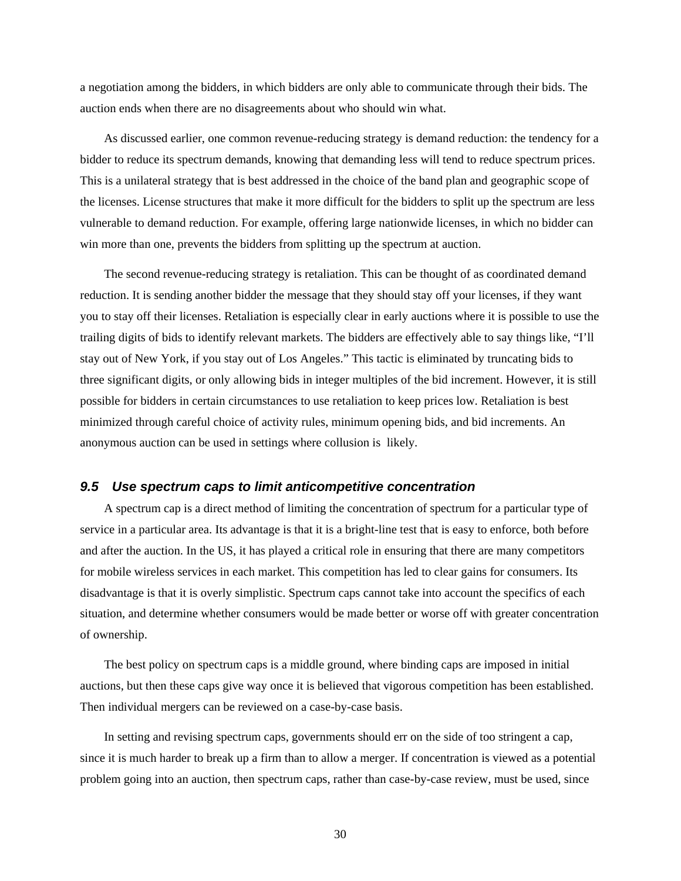a negotiation among the bidders, in which bidders are only able to communicate through their bids. The auction ends when there are no disagreements about who should win what.

As discussed earlier, one common revenue-reducing strategy is demand reduction: the tendency for a bidder to reduce its spectrum demands, knowing that demanding less will tend to reduce spectrum prices. This is a unilateral strategy that is best addressed in the choice of the band plan and geographic scope of the licenses. License structures that make it more difficult for the bidders to split up the spectrum are less vulnerable to demand reduction. For example, offering large nationwide licenses, in which no bidder can win more than one, prevents the bidders from splitting up the spectrum at auction.

The second revenue-reducing strategy is retaliation. This can be thought of as coordinated demand reduction. It is sending another bidder the message that they should stay off your licenses, if they want you to stay off their licenses. Retaliation is especially clear in early auctions where it is possible to use the trailing digits of bids to identify relevant markets. The bidders are effectively able to say things like, "I'll stay out of New York, if you stay out of Los Angeles." This tactic is eliminated by truncating bids to three significant digits, or only allowing bids in integer multiples of the bid increment. However, it is still possible for bidders in certain circumstances to use retaliation to keep prices low. Retaliation is best minimized through careful choice of activity rules, minimum opening bids, and bid increments. An anonymous auction can be used in settings where collusion is likely.

#### *9.5 Use spectrum caps to limit anticompetitive concentration*

A spectrum cap is a direct method of limiting the concentration of spectrum for a particular type of service in a particular area. Its advantage is that it is a bright-line test that is easy to enforce, both before and after the auction. In the US, it has played a critical role in ensuring that there are many competitors for mobile wireless services in each market. This competition has led to clear gains for consumers. Its disadvantage is that it is overly simplistic. Spectrum caps cannot take into account the specifics of each situation, and determine whether consumers would be made better or worse off with greater concentration of ownership.

The best policy on spectrum caps is a middle ground, where binding caps are imposed in initial auctions, but then these caps give way once it is believed that vigorous competition has been established. Then individual mergers can be reviewed on a case-by-case basis.

In setting and revising spectrum caps, governments should err on the side of too stringent a cap, since it is much harder to break up a firm than to allow a merger. If concentration is viewed as a potential problem going into an auction, then spectrum caps, rather than case-by-case review, must be used, since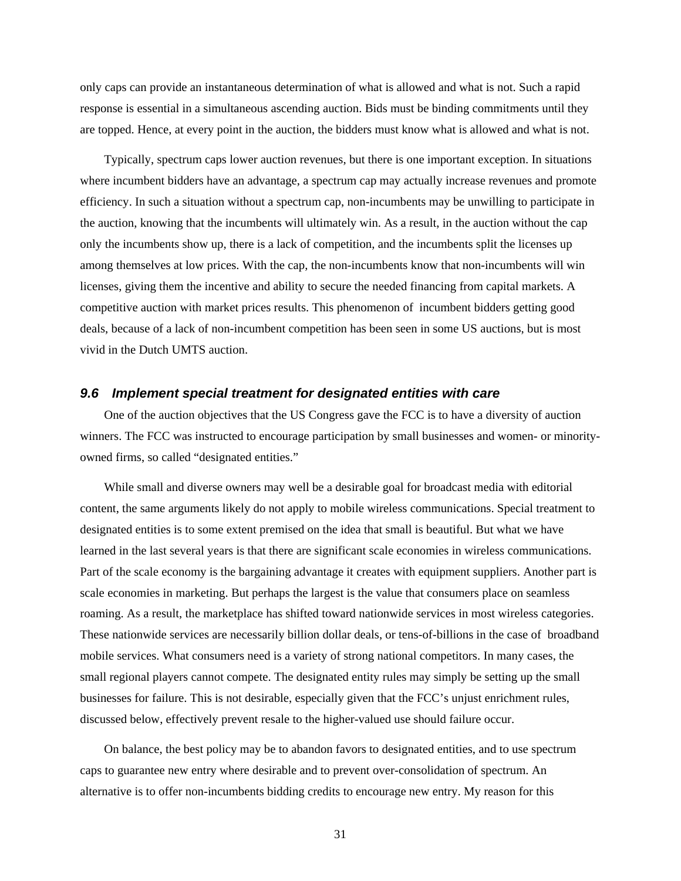only caps can provide an instantaneous determination of what is allowed and what is not. Such a rapid response is essential in a simultaneous ascending auction. Bids must be binding commitments until they are topped. Hence, at every point in the auction, the bidders must know what is allowed and what is not.

Typically, spectrum caps lower auction revenues, but there is one important exception. In situations where incumbent bidders have an advantage, a spectrum cap may actually increase revenues and promote efficiency. In such a situation without a spectrum cap, non-incumbents may be unwilling to participate in the auction, knowing that the incumbents will ultimately win. As a result, in the auction without the cap only the incumbents show up, there is a lack of competition, and the incumbents split the licenses up among themselves at low prices. With the cap, the non-incumbents know that non-incumbents will win licenses, giving them the incentive and ability to secure the needed financing from capital markets. A competitive auction with market prices results. This phenomenon of incumbent bidders getting good deals, because of a lack of non-incumbent competition has been seen in some US auctions, but is most vivid in the Dutch UMTS auction.

### *9.6 Implement special treatment for designated entities with care*

One of the auction objectives that the US Congress gave the FCC is to have a diversity of auction winners. The FCC was instructed to encourage participation by small businesses and women- or minorityowned firms, so called "designated entities."

While small and diverse owners may well be a desirable goal for broadcast media with editorial content, the same arguments likely do not apply to mobile wireless communications. Special treatment to designated entities is to some extent premised on the idea that small is beautiful. But what we have learned in the last several years is that there are significant scale economies in wireless communications. Part of the scale economy is the bargaining advantage it creates with equipment suppliers. Another part is scale economies in marketing. But perhaps the largest is the value that consumers place on seamless roaming. As a result, the marketplace has shifted toward nationwide services in most wireless categories. These nationwide services are necessarily billion dollar deals, or tens-of-billions in the case of broadband mobile services. What consumers need is a variety of strong national competitors. In many cases, the small regional players cannot compete. The designated entity rules may simply be setting up the small businesses for failure. This is not desirable, especially given that the FCC's unjust enrichment rules, discussed below, effectively prevent resale to the higher-valued use should failure occur.

On balance, the best policy may be to abandon favors to designated entities, and to use spectrum caps to guarantee new entry where desirable and to prevent over-consolidation of spectrum. An alternative is to offer non-incumbents bidding credits to encourage new entry. My reason for this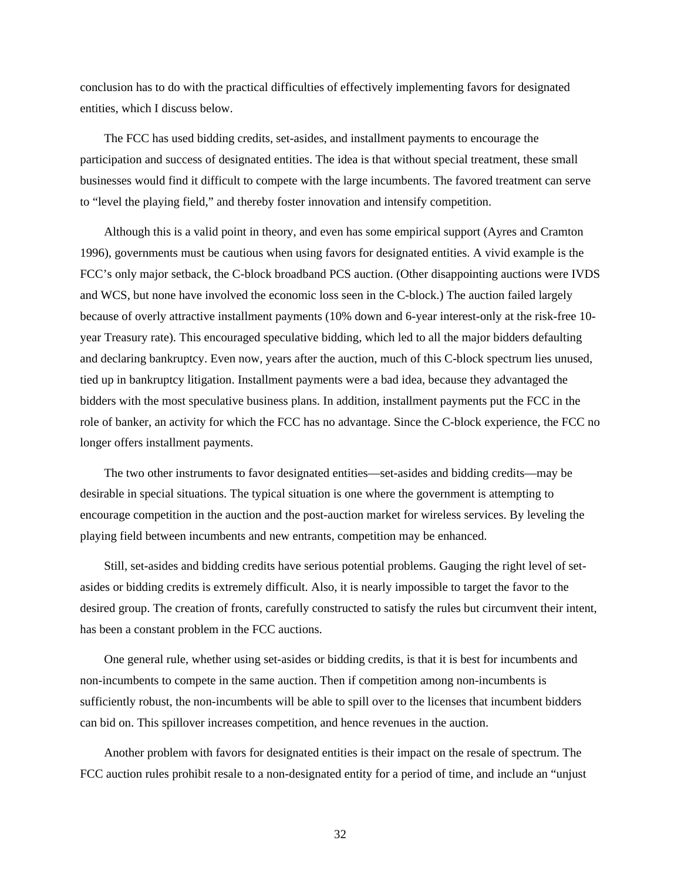conclusion has to do with the practical difficulties of effectively implementing favors for designated entities, which I discuss below.

The FCC has used bidding credits, set-asides, and installment payments to encourage the participation and success of designated entities. The idea is that without special treatment, these small businesses would find it difficult to compete with the large incumbents. The favored treatment can serve to "level the playing field," and thereby foster innovation and intensify competition.

Although this is a valid point in theory, and even has some empirical support (Ayres and Cramton 1996), governments must be cautious when using favors for designated entities. A vivid example is the FCC's only major setback, the C-block broadband PCS auction. (Other disappointing auctions were IVDS and WCS, but none have involved the economic loss seen in the C-block.) The auction failed largely because of overly attractive installment payments (10% down and 6-year interest-only at the risk-free 10 year Treasury rate). This encouraged speculative bidding, which led to all the major bidders defaulting and declaring bankruptcy. Even now, years after the auction, much of this C-block spectrum lies unused, tied up in bankruptcy litigation. Installment payments were a bad idea, because they advantaged the bidders with the most speculative business plans. In addition, installment payments put the FCC in the role of banker, an activity for which the FCC has no advantage. Since the C-block experience, the FCC no longer offers installment payments.

The two other instruments to favor designated entities—set-asides and bidding credits—may be desirable in special situations. The typical situation is one where the government is attempting to encourage competition in the auction and the post-auction market for wireless services. By leveling the playing field between incumbents and new entrants, competition may be enhanced.

Still, set-asides and bidding credits have serious potential problems. Gauging the right level of setasides or bidding credits is extremely difficult. Also, it is nearly impossible to target the favor to the desired group. The creation of fronts, carefully constructed to satisfy the rules but circumvent their intent, has been a constant problem in the FCC auctions.

One general rule, whether using set-asides or bidding credits, is that it is best for incumbents and non-incumbents to compete in the same auction. Then if competition among non-incumbents is sufficiently robust, the non-incumbents will be able to spill over to the licenses that incumbent bidders can bid on. This spillover increases competition, and hence revenues in the auction.

Another problem with favors for designated entities is their impact on the resale of spectrum. The FCC auction rules prohibit resale to a non-designated entity for a period of time, and include an "unjust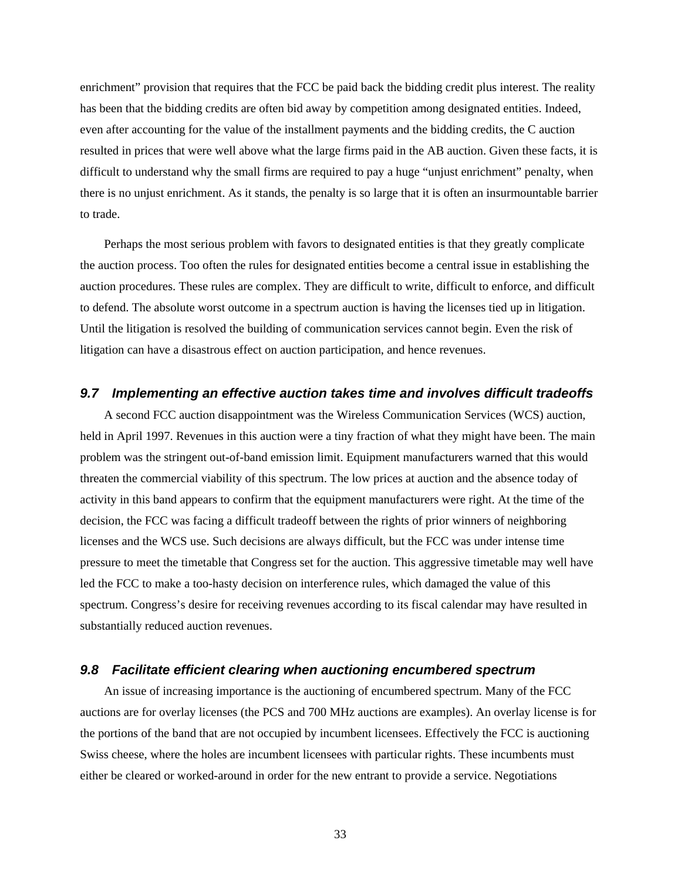enrichment" provision that requires that the FCC be paid back the bidding credit plus interest. The reality has been that the bidding credits are often bid away by competition among designated entities. Indeed, even after accounting for the value of the installment payments and the bidding credits, the C auction resulted in prices that were well above what the large firms paid in the AB auction. Given these facts, it is difficult to understand why the small firms are required to pay a huge "unjust enrichment" penalty, when there is no unjust enrichment. As it stands, the penalty is so large that it is often an insurmountable barrier to trade.

Perhaps the most serious problem with favors to designated entities is that they greatly complicate the auction process. Too often the rules for designated entities become a central issue in establishing the auction procedures. These rules are complex. They are difficult to write, difficult to enforce, and difficult to defend. The absolute worst outcome in a spectrum auction is having the licenses tied up in litigation. Until the litigation is resolved the building of communication services cannot begin. Even the risk of litigation can have a disastrous effect on auction participation, and hence revenues.

### *9.7 Implementing an effective auction takes time and involves difficult tradeoffs*

A second FCC auction disappointment was the Wireless Communication Services (WCS) auction, held in April 1997. Revenues in this auction were a tiny fraction of what they might have been. The main problem was the stringent out-of-band emission limit. Equipment manufacturers warned that this would threaten the commercial viability of this spectrum. The low prices at auction and the absence today of activity in this band appears to confirm that the equipment manufacturers were right. At the time of the decision, the FCC was facing a difficult tradeoff between the rights of prior winners of neighboring licenses and the WCS use. Such decisions are always difficult, but the FCC was under intense time pressure to meet the timetable that Congress set for the auction. This aggressive timetable may well have led the FCC to make a too-hasty decision on interference rules, which damaged the value of this spectrum. Congress's desire for receiving revenues according to its fiscal calendar may have resulted in substantially reduced auction revenues.

#### *9.8 Facilitate efficient clearing when auctioning encumbered spectrum*

An issue of increasing importance is the auctioning of encumbered spectrum. Many of the FCC auctions are for overlay licenses (the PCS and 700 MHz auctions are examples). An overlay license is for the portions of the band that are not occupied by incumbent licensees. Effectively the FCC is auctioning Swiss cheese, where the holes are incumbent licensees with particular rights. These incumbents must either be cleared or worked-around in order for the new entrant to provide a service. Negotiations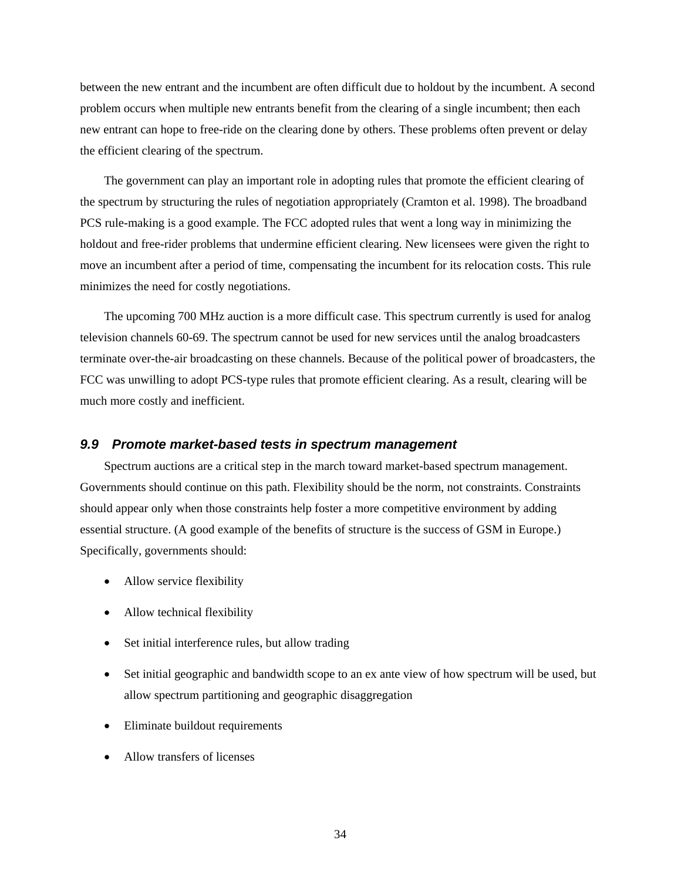between the new entrant and the incumbent are often difficult due to holdout by the incumbent. A second problem occurs when multiple new entrants benefit from the clearing of a single incumbent; then each new entrant can hope to free-ride on the clearing done by others. These problems often prevent or delay the efficient clearing of the spectrum.

The government can play an important role in adopting rules that promote the efficient clearing of the spectrum by structuring the rules of negotiation appropriately (Cramton et al. 1998). The broadband PCS rule-making is a good example. The FCC adopted rules that went a long way in minimizing the holdout and free-rider problems that undermine efficient clearing. New licensees were given the right to move an incumbent after a period of time, compensating the incumbent for its relocation costs. This rule minimizes the need for costly negotiations.

The upcoming 700 MHz auction is a more difficult case. This spectrum currently is used for analog television channels 60-69. The spectrum cannot be used for new services until the analog broadcasters terminate over-the-air broadcasting on these channels. Because of the political power of broadcasters, the FCC was unwilling to adopt PCS-type rules that promote efficient clearing. As a result, clearing will be much more costly and inefficient.

#### *9.9 Promote market-based tests in spectrum management*

Spectrum auctions are a critical step in the march toward market-based spectrum management. Governments should continue on this path. Flexibility should be the norm, not constraints. Constraints should appear only when those constraints help foster a more competitive environment by adding essential structure. (A good example of the benefits of structure is the success of GSM in Europe.) Specifically, governments should:

- Allow service flexibility
- Allow technical flexibility
- Set initial interference rules, but allow trading
- Set initial geographic and bandwidth scope to an ex ante view of how spectrum will be used, but allow spectrum partitioning and geographic disaggregation
- Eliminate buildout requirements
- Allow transfers of licenses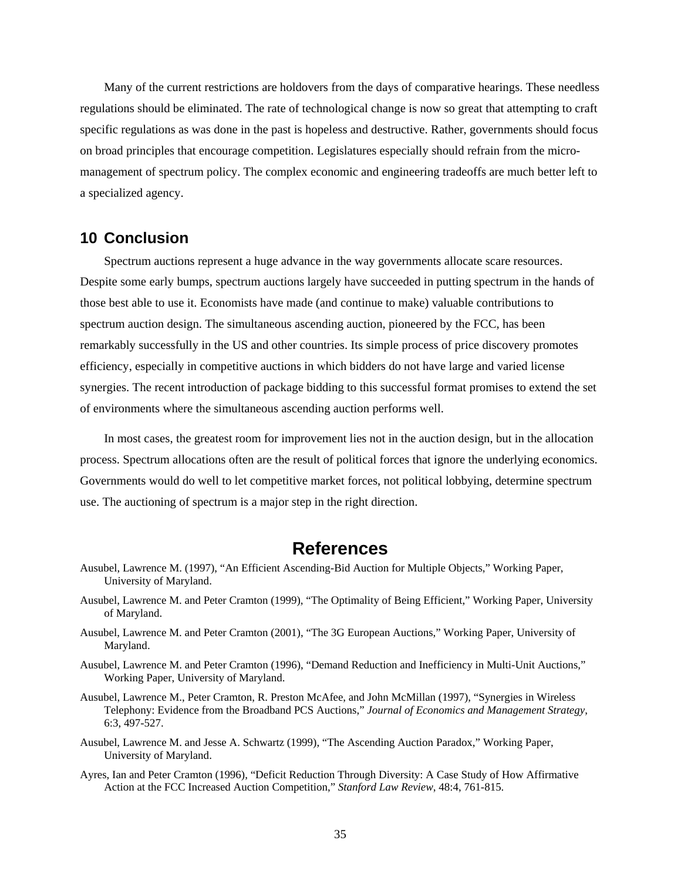Many of the current restrictions are holdovers from the days of comparative hearings. These needless regulations should be eliminated. The rate of technological change is now so great that attempting to craft specific regulations as was done in the past is hopeless and destructive. Rather, governments should focus on broad principles that encourage competition. Legislatures especially should refrain from the micromanagement of spectrum policy. The complex economic and engineering tradeoffs are much better left to a specialized agency.

### **10 Conclusion**

Spectrum auctions represent a huge advance in the way governments allocate scare resources. Despite some early bumps, spectrum auctions largely have succeeded in putting spectrum in the hands of those best able to use it. Economists have made (and continue to make) valuable contributions to spectrum auction design. The simultaneous ascending auction, pioneered by the FCC, has been remarkably successfully in the US and other countries. Its simple process of price discovery promotes efficiency, especially in competitive auctions in which bidders do not have large and varied license synergies. The recent introduction of package bidding to this successful format promises to extend the set of environments where the simultaneous ascending auction performs well.

In most cases, the greatest room for improvement lies not in the auction design, but in the allocation process. Spectrum allocations often are the result of political forces that ignore the underlying economics. Governments would do well to let competitive market forces, not political lobbying, determine spectrum use. The auctioning of spectrum is a major step in the right direction.

# **References**

- Ausubel, Lawrence M. (1997), "An Efficient Ascending-Bid Auction for Multiple Objects," Working Paper, University of Maryland.
- Ausubel, Lawrence M. and Peter Cramton (1999), "The Optimality of Being Efficient," Working Paper, University of Maryland.
- Ausubel, Lawrence M. and Peter Cramton (2001), "The 3G European Auctions," Working Paper, University of Maryland.
- Ausubel, Lawrence M. and Peter Cramton (1996), "Demand Reduction and Inefficiency in Multi-Unit Auctions," Working Paper, University of Maryland.
- Ausubel, Lawrence M., Peter Cramton, R. Preston McAfee, and John McMillan (1997), "Synergies in Wireless Telephony: Evidence from the Broadband PCS Auctions," *Journal of Economics and Management Strategy*, 6:3, 497-527.
- Ausubel, Lawrence M. and Jesse A. Schwartz (1999), "The Ascending Auction Paradox," Working Paper, University of Maryland.
- Ayres, Ian and Peter Cramton (1996), "Deficit Reduction Through Diversity: A Case Study of How Affirmative Action at the FCC Increased Auction Competition," *Stanford Law Review*, 48:4, 761-815.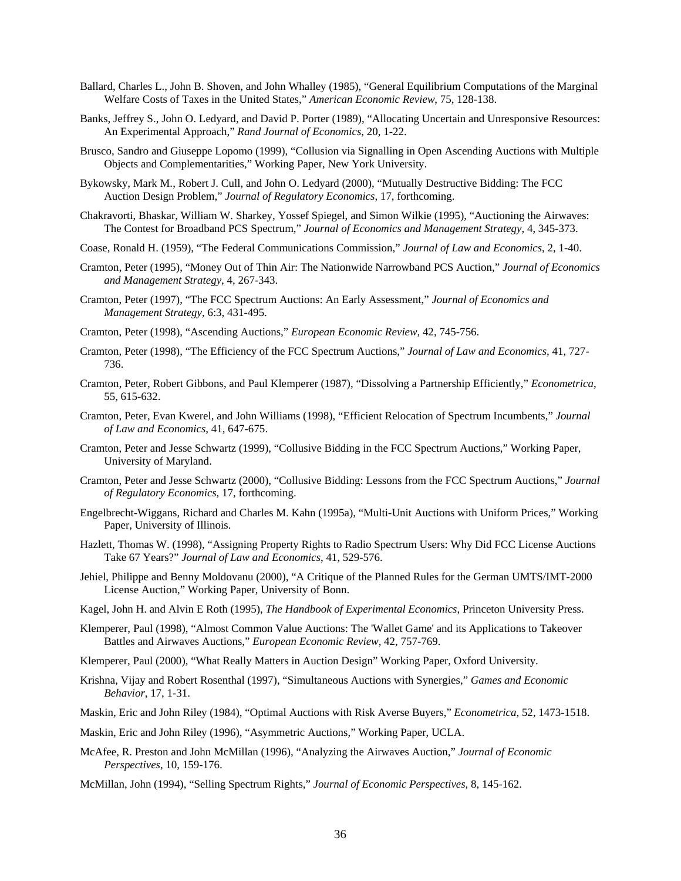- Ballard, Charles L., John B. Shoven, and John Whalley (1985), "General Equilibrium Computations of the Marginal Welfare Costs of Taxes in the United States," *American Economic Review*, 75, 128-138.
- Banks, Jeffrey S., John O. Ledyard, and David P. Porter (1989), "Allocating Uncertain and Unresponsive Resources: An Experimental Approach," *Rand Journal of Economics*, 20, 1-22.
- Brusco, Sandro and Giuseppe Lopomo (1999), "Collusion via Signalling in Open Ascending Auctions with Multiple Objects and Complementarities," Working Paper, New York University.
- Bykowsky, Mark M., Robert J. Cull, and John O. Ledyard (2000), "Mutually Destructive Bidding: The FCC Auction Design Problem," *Journal of Regulatory Economics*, 17, forthcoming.
- Chakravorti, Bhaskar, William W. Sharkey, Yossef Spiegel, and Simon Wilkie (1995), "Auctioning the Airwaves: The Contest for Broadband PCS Spectrum," *Journal of Economics and Management Strategy*, 4, 345-373.
- Coase, Ronald H. (1959), "The Federal Communications Commission," *Journal of Law and Economics*, 2, 1-40.
- Cramton, Peter (1995), "Money Out of Thin Air: The Nationwide Narrowband PCS Auction," *Journal of Economics and Management Strategy*, 4, 267-343.
- Cramton, Peter (1997), "The FCC Spectrum Auctions: An Early Assessment," *Journal of Economics and Management Strategy*, 6:3, 431-495.
- Cramton, Peter (1998), "Ascending Auctions," *European Economic Review*, 42, 745-756.
- Cramton, Peter (1998), "The Efficiency of the FCC Spectrum Auctions," *Journal of Law and Economics*, 41, 727- 736.
- Cramton, Peter, Robert Gibbons, and Paul Klemperer (1987), "Dissolving a Partnership Efficiently," *Econometrica*, 55, 615-632.
- Cramton, Peter, Evan Kwerel, and John Williams (1998), "Efficient Relocation of Spectrum Incumbents," *Journal of Law and Economics*, 41, 647-675.
- Cramton, Peter and Jesse Schwartz (1999), "Collusive Bidding in the FCC Spectrum Auctions," Working Paper, University of Maryland.
- Cramton, Peter and Jesse Schwartz (2000), "Collusive Bidding: Lessons from the FCC Spectrum Auctions," *Journal of Regulatory Economics*, 17, forthcoming.
- Engelbrecht-Wiggans, Richard and Charles M. Kahn (1995a), "Multi-Unit Auctions with Uniform Prices," Working Paper, University of Illinois.
- Hazlett, Thomas W. (1998), "Assigning Property Rights to Radio Spectrum Users: Why Did FCC License Auctions Take 67 Years?" *Journal of Law and Economics*, 41, 529-576.
- Jehiel, Philippe and Benny Moldovanu (2000), "A Critique of the Planned Rules for the German UMTS/IMT-2000 License Auction," Working Paper, University of Bonn.
- Kagel, John H. and Alvin E Roth (1995), *The Handbook of Experimental Economics*, Princeton University Press.
- Klemperer, Paul (1998), "Almost Common Value Auctions: The 'Wallet Game' and its Applications to Takeover Battles and Airwaves Auctions," *European Economic Review*, 42, 757-769.
- Klemperer, Paul (2000), "What Really Matters in Auction Design" Working Paper, Oxford University.
- Krishna, Vijay and Robert Rosenthal (1997), "Simultaneous Auctions with Synergies," *Games and Economic Behavior*, 17, 1-31.
- Maskin, Eric and John Riley (1984), "Optimal Auctions with Risk Averse Buyers," *Econometrica*, 52, 1473-1518.
- Maskin, Eric and John Riley (1996), "Asymmetric Auctions," Working Paper, UCLA.
- McAfee, R. Preston and John McMillan (1996), "Analyzing the Airwaves Auction," *Journal of Economic Perspectives*, 10, 159-176.
- McMillan, John (1994), "Selling Spectrum Rights," *Journal of Economic Perspectives*, 8, 145-162.